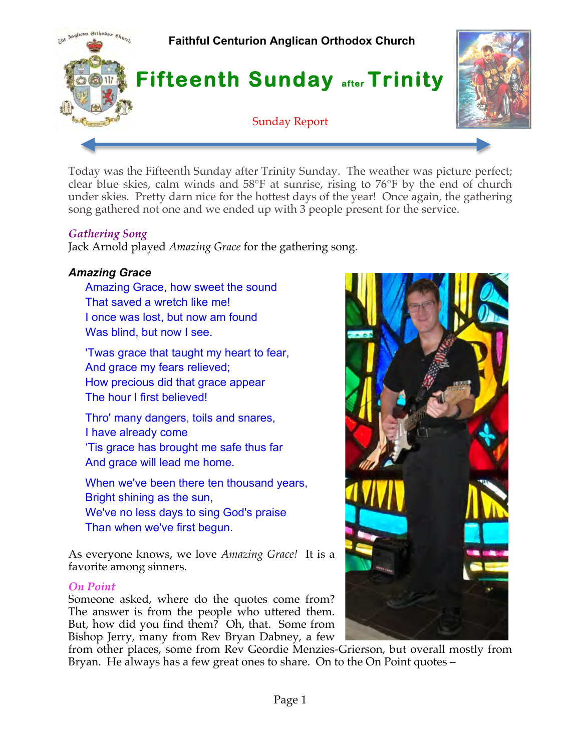

Today was the Fifteenth Sunday after Trinity Sunday. The weather was picture perfect; clear blue skies, calm winds and 58°F at sunrise, rising to 76°F by the end of church under skies. Pretty darn nice for the hottest days of the year! Once again, the gathering song gathered not one and we ended up with 3 people present for the service.

# *Gathering Song*

Jack Arnold played *Amazing Grace* for the gathering song.

# *Amazing Grace*

Amazing Grace, how sweet the sound That saved a wretch like me! I once was lost, but now am found Was blind, but now I see.

'Twas grace that taught my heart to fear, And grace my fears relieved; How precious did that grace appear The hour I first believed!

Thro' many dangers, toils and snares, I have already come 'Tis grace has brought me safe thus far And grace will lead me home.

When we've been there ten thousand years, Bright shining as the sun, We've no less days to sing God's praise Than when we've first begun.

As everyone knows, we love *Amazing Grace!* It is a favorite among sinners.

### *On Point*

Someone asked, where do the quotes come from? The answer is from the people who uttered them. But, how did you find them? Oh, that. Some from Bishop Jerry, many from Rev Bryan Dabney, a few

from other places, some from Rev Geordie Menzies-Grierson, but overall mostly from Bryan. He always has a few great ones to share. On to the On Point quotes –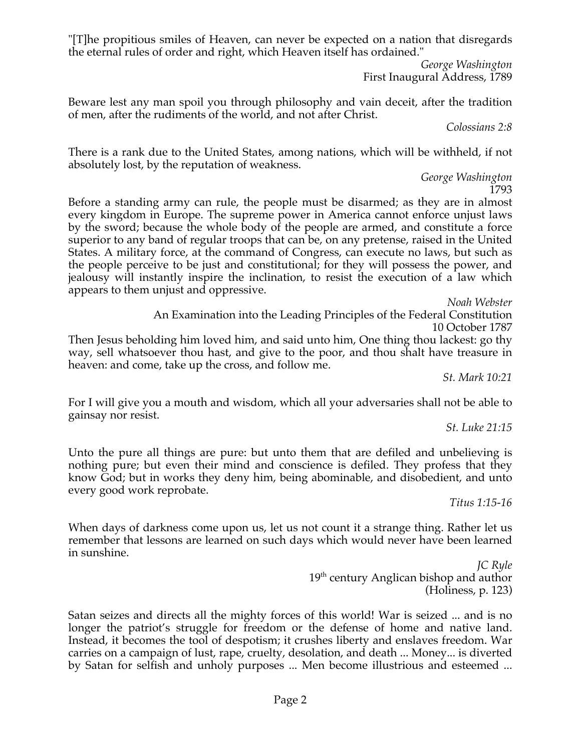"[T]he propitious smiles of Heaven, can never be expected on a nation that disregards the eternal rules of order and right, which Heaven itself has ordained."

*George Washington* First Inaugural Address, 1789

Beware lest any man spoil you through philosophy and vain deceit, after the tradition of men, after the rudiments of the world, and not after Christ.

*Colossians 2:8*

There is a rank due to the United States, among nations, which will be withheld, if not absolutely lost, by the reputation of weakness.

*George Washington*  1793

Before a standing army can rule, the people must be disarmed; as they are in almost every kingdom in Europe. The supreme power in America cannot enforce unjust laws by the sword; because the whole body of the people are armed, and constitute a force superior to any band of regular troops that can be, on any pretense, raised in the United States. A military force, at the command of Congress, can execute no laws, but such as the people perceive to be just and constitutional; for they will possess the power, and jealousy will instantly inspire the inclination, to resist the execution of a law which appears to them unjust and oppressive.

*Noah Webster* 

An Examination into the Leading Principles of the Federal Constitution 10 October 1787

Then Jesus beholding him loved him, and said unto him, One thing thou lackest: go thy way, sell whatsoever thou hast, and give to the poor, and thou shalt have treasure in heaven: and come, take up the cross, and follow me.

*St. Mark 10:21*

For I will give you a mouth and wisdom, which all your adversaries shall not be able to gainsay nor resist.

*St. Luke 21:15*

Unto the pure all things are pure: but unto them that are defiled and unbelieving is nothing pure; but even their mind and conscience is defiled. They profess that they know God; but in works they deny him, being abominable, and disobedient, and unto every good work reprobate.

*Titus 1:15-16*

When days of darkness come upon us, let us not count it a strange thing. Rather let us remember that lessons are learned on such days which would never have been learned in sunshine.

> *JC Ryle* 19<sup>th</sup> century Anglican bishop and author (Holiness, p. 123)

Satan seizes and directs all the mighty forces of this world! War is seized ... and is no longer the patriot's struggle for freedom or the defense of home and native land. Instead, it becomes the tool of despotism; it crushes liberty and enslaves freedom. War carries on a campaign of lust, rape, cruelty, desolation, and death ... Money... is diverted by Satan for selfish and unholy purposes ... Men become illustrious and esteemed ...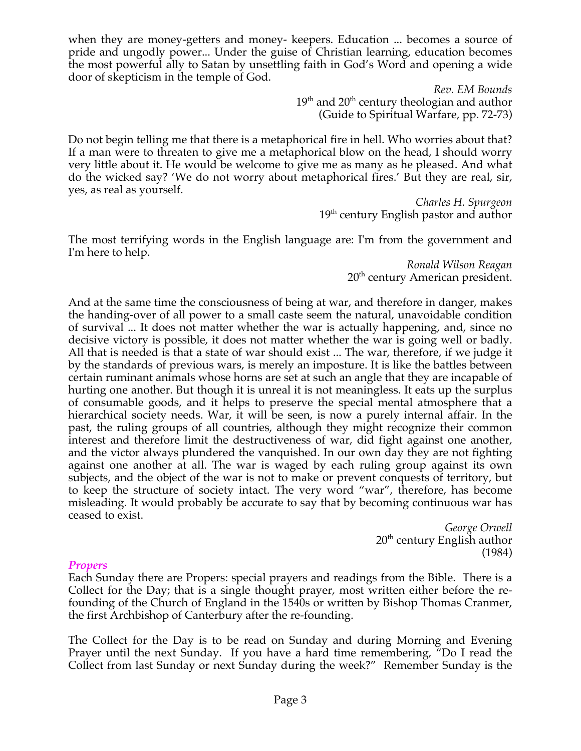when they are money-getters and money- keepers. Education ... becomes a source of pride and ungodly power... Under the guise of Christian learning, education becomes the most powerful ally to Satan by unsettling faith in God's Word and opening a wide door of skepticism in the temple of God.

> *Rev. EM Bounds*  $19<sup>th</sup>$  and  $20<sup>th</sup>$  century theologian and author (Guide to Spiritual Warfare, pp. 72-73)

Do not begin telling me that there is a metaphorical fire in hell. Who worries about that? If a man were to threaten to give me a metaphorical blow on the head, I should worry very little about it. He would be welcome to give me as many as he pleased. And what do the wicked say? 'We do not worry about metaphorical fires.' But they are real, sir, yes, as real as yourself.

> *Charles H. Spurgeon* 19<sup>th</sup> century English pastor and author

The most terrifying words in the English language are: I'm from the government and I'm here to help.

*Ronald Wilson Reagan* 20<sup>th</sup> century American president.

And at the same time the consciousness of being at war, and therefore in danger, makes the handing-over of all power to a small caste seem the natural, unavoidable condition of survival ... It does not matter whether the war is actually happening, and, since no decisive victory is possible, it does not matter whether the war is going well or badly. All that is needed is that a state of war should exist ... The war, therefore, if we judge it by the standards of previous wars, is merely an imposture. It is like the battles between certain ruminant animals whose horns are set at such an angle that they are incapable of hurting one another. But though it is unreal it is not meaningless. It eats up the surplus of consumable goods, and it helps to preserve the special mental atmosphere that a hierarchical society needs. War, it will be seen, is now a purely internal affair. In the past, the ruling groups of all countries, although they might recognize their common interest and therefore limit the destructiveness of war, did fight against one another, and the victor always plundered the vanquished. In our own day they are not fighting against one another at all. The war is waged by each ruling group against its own subjects, and the object of the war is not to make or prevent conquests of territory, but to keep the structure of society intact. The very word "war", therefore, has become misleading. It would probably be accurate to say that by becoming continuous war has ceased to exist.

> *George Orwell*  $20^{\rm th}$  century English author (1984)

### *Propers*

Each Sunday there are Propers: special prayers and readings from the Bible. There is a Collect for the Day; that is a single thought prayer, most written either before the refounding of the Church of England in the 1540s or written by Bishop Thomas Cranmer, the first Archbishop of Canterbury after the re-founding.

The Collect for the Day is to be read on Sunday and during Morning and Evening Prayer until the next Sunday. If you have a hard time remembering, "Do I read the Collect from last Sunday or next Sunday during the week?" Remember Sunday is the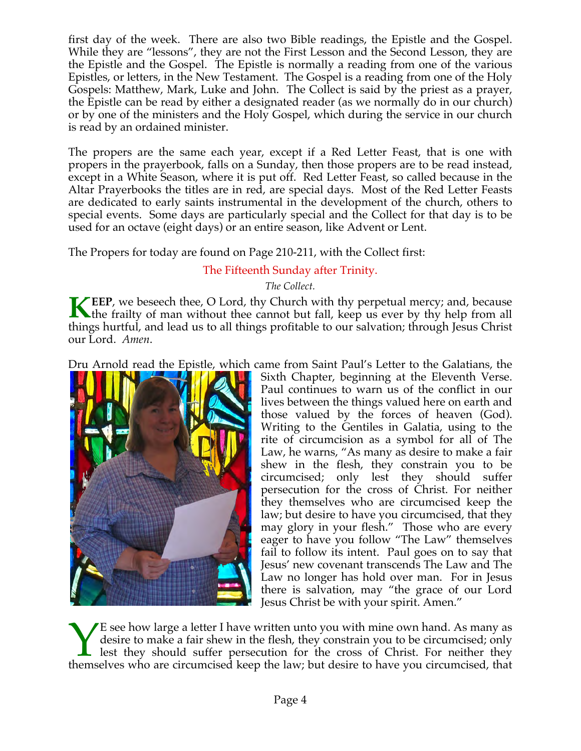first day of the week. There are also two Bible readings, the Epistle and the Gospel. While they are "lessons", they are not the First Lesson and the Second Lesson, they are the Epistle and the Gospel. The Epistle is normally a reading from one of the various Epistles, or letters, in the New Testament. The Gospel is a reading from one of the Holy Gospels: Matthew, Mark, Luke and John. The Collect is said by the priest as a prayer, the Epistle can be read by either a designated reader (as we normally do in our church) or by one of the ministers and the Holy Gospel, which during the service in our church is read by an ordained minister.

The propers are the same each year, except if a Red Letter Feast, that is one with propers in the prayerbook, falls on a Sunday, then those propers are to be read instead, except in a White Season, where it is put off. Red Letter Feast, so called because in the Altar Prayerbooks the titles are in red, are special days. Most of the Red Letter Feasts are dedicated to early saints instrumental in the development of the church, others to special events. Some days are particularly special and the Collect for that day is to be used for an octave (eight days) or an entire season, like Advent or Lent.

The Propers for today are found on Page 210-211, with the Collect first:

# The Fifteenth Sunday after Trinity.

# *The Collect.*

**EEP**, we beseech thee, O Lord, thy Church with thy perpetual mercy; and, because **KEEP**, we beseech thee, O Lord, thy Church with thy perpetual mercy; and, because the frailty of man without thee cannot but fall, keep us ever by thy help from all this cannot but fall, keep us ever by thy help from all things hurtful, and lead us to all things profitable to our salvation; through Jesus Christ our Lord. *Amen*.

Dru Arnold read the Epistle, which came from Saint Paul's Letter to the Galatians, the



Sixth Chapter, beginning at the Eleventh Verse. Paul continues to warn us of the conflict in our lives between the things valued here on earth and those valued by the forces of heaven (God). Writing to the Gentiles in Galatia, using to the rite of circumcision as a symbol for all of The Law, he warns, "As many as desire to make a fair shew in the flesh, they constrain you to be circumcised; only lest they should suffer persecution for the cross of Christ. For neither they themselves who are circumcised keep the law; but desire to have you circumcised, that they may glory in your flesh." Those who are every eager to have you follow "The Law" themselves fail to follow its intent. Paul goes on to say that Jesus' new covenant transcends The Law and The Law no longer has hold over man. For in Jesus there is salvation, may "the grace of our Lord Jesus Christ be with your spirit. Amen."

E see how large a letter I have written unto you with mine own hand. As many as desire to make a fair shew in the flesh, they constrain you to be circumcised; only lest they should suffer persecution for the cross of Christ. For neither they The see how large a letter I have written unto you with mine own hand. As many as desire to make a fair shew in the flesh, they constrain you to be circumcised; only lest they should suffer persecution for the cross of Chr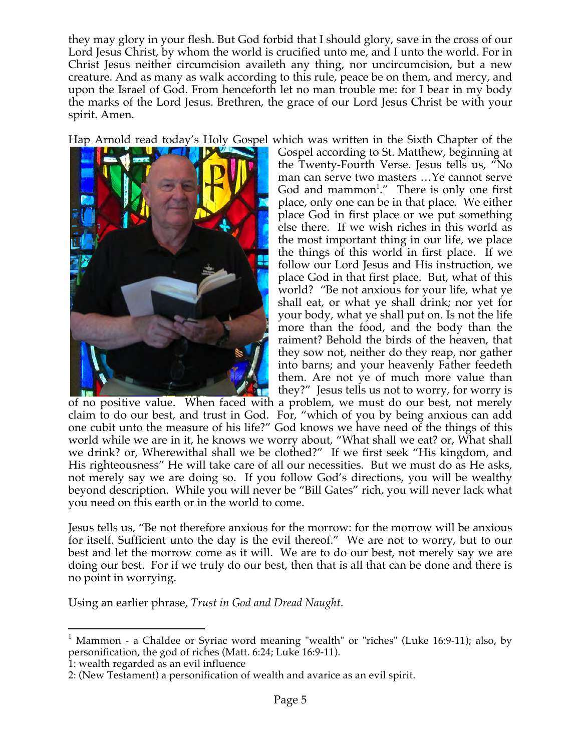they may glory in your flesh. But God forbid that I should glory, save in the cross of our Lord Jesus Christ, by whom the world is crucified unto me, and I unto the world. For in Christ Jesus neither circumcision availeth any thing, nor uncircumcision, but a new creature. And as many as walk according to this rule, peace be on them, and mercy, and upon the Israel of God. From henceforth let no man trouble me: for I bear in my body the marks of the Lord Jesus. Brethren, the grace of our Lord Jesus Christ be with your spirit. Amen.

Hap Arnold read today's Holy Gospel which was written in the Sixth Chapter of the



Gospel according to St. Matthew, beginning at the Twenty-Fourth Verse. Jesus tells us, "No man can serve two masters …Ye cannot serve God and mammon<sup>1</sup>. $\degree$  There is only one first place, only one can be in that place. We either place God in first place or we put something else there. If we wish riches in this world as the most important thing in our life, we place the things of this world in first place. If we follow our Lord Jesus and His instruction, we place God in that first place. But, what of this world? "Be not anxious for your life, what ye shall eat, or what ye shall drink; nor yet for your body, what ye shall put on. Is not the life more than the food, and the body than the raiment? Behold the birds of the heaven, that they sow not, neither do they reap, nor gather into barns; and your heavenly Father feedeth them. Are not ye of much more value than they?" Jesus tells us not to worry, for worry is

of no positive value. When faced with a problem, we must do our best, not merely claim to do our best, and trust in God. For, "which of you by being anxious can add one cubit unto the measure of his life?" God knows we have need of the things of this world while we are in it, he knows we worry about, "What shall we eat? or, What shall we drink? or, Wherewithal shall we be clothed?" If we first seek "His kingdom, and His righteousness" He will take care of all our necessities. But we must do as He asks, not merely say we are doing so. If you follow God's directions, you will be wealthy beyond description. While you will never be "Bill Gates" rich, you will never lack what you need on this earth or in the world to come.

Jesus tells us, "Be not therefore anxious for the morrow: for the morrow will be anxious for itself. Sufficient unto the day is the evil thereof." We are not to worry, but to our best and let the morrow come as it will. We are to do our best, not merely say we are doing our best. For if we truly do our best, then that is all that can be done and there is no point in worrying.

Using an earlier phrase, *Trust in God and Dread Naught*.

1: wealth regarded as an evil influence

<sup>&</sup>lt;sup>1</sup> Mammon - a Chaldee or Syriac word meaning "wealth" or "riches" (Luke 16:9-11); also, by personification, the god of riches (Matt. 6:24; Luke 16:9-11).

<sup>2: (</sup>New Testament) a personification of wealth and avarice as an evil spirit.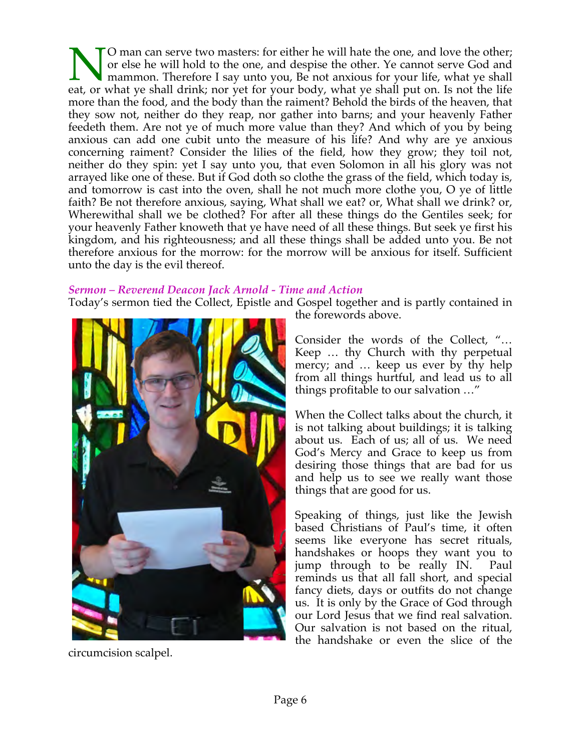O man can serve two masters: for either he will hate the one, and love the other; or else he will hold to the one, and despise the other. Ye cannot serve God and mammon. Therefore I say unto you, Be not anxious for your life, what ye shall C man can serve two masters: for either he will hate the one, and love the other;<br>or else he will hold to the one, and despise the other. Ye cannot serve God and<br>nammon. Therefore I say unto you, Be not anxious for your li more than the food, and the body than the raiment? Behold the birds of the heaven, that they sow not, neither do they reap, nor gather into barns; and your heavenly Father feedeth them. Are not ye of much more value than they? And which of you by being anxious can add one cubit unto the measure of his life? And why are ye anxious concerning raiment? Consider the lilies of the field, how they grow; they toil not, neither do they spin: yet I say unto you, that even Solomon in all his glory was not arrayed like one of these. But if God doth so clothe the grass of the field, which today is, and tomorrow is cast into the oven, shall he not much more clothe you, O ye of little faith? Be not therefore anxious, saying, What shall we eat? or, What shall we drink? or, Wherewithal shall we be clothed? For after all these things do the Gentiles seek; for your heavenly Father knoweth that ye have need of all these things. But seek ye first his kingdom, and his righteousness; and all these things shall be added unto you. Be not therefore anxious for the morrow: for the morrow will be anxious for itself. Sufficient unto the day is the evil thereof.

# *Sermon – Reverend Deacon Jack Arnold - Time and Action*

Today's sermon tied the Collect, Epistle and Gospel together and is partly contained in



circumcision scalpel.

the forewords above.

Consider the words of the Collect, "… Keep … thy Church with thy perpetual mercy; and … keep us ever by thy help from all things hurtful, and lead us to all things profitable to our salvation …"

When the Collect talks about the church, it is not talking about buildings; it is talking about us. Each of us; all of us. We need God's Mercy and Grace to keep us from desiring those things that are bad for us and help us to see we really want those things that are good for us.

Speaking of things, just like the Jewish based Christians of Paul's time, it often seems like everyone has secret rituals, handshakes or hoops they want you to jump through to be really IN. Paul reminds us that all fall short, and special fancy diets, days or outfits do not change us. It is only by the Grace of God through our Lord Jesus that we find real salvation. Our salvation is not based on the ritual, the handshake or even the slice of the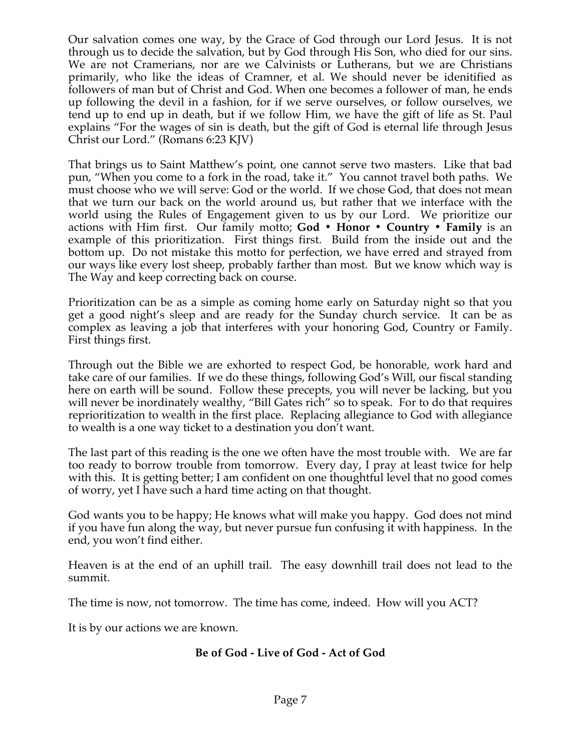Our salvation comes one way, by the Grace of God through our Lord Jesus. It is not through us to decide the salvation, but by God through His Son, who died for our sins. We are not Cramerians, nor are we Calvinists or Lutherans, but we are Christians primarily, who like the ideas of Cramner, et al. We should never be idenitified as followers of man but of Christ and God. When one becomes a follower of man, he ends up following the devil in a fashion, for if we serve ourselves, or follow ourselves, we tend up to end up in death, but if we follow Him, we have the gift of life as St. Paul explains "For the wages of sin is death, but the gift of God is eternal life through Jesus Christ our Lord." (Romans 6:23 KJV)

That brings us to Saint Matthew's point, one cannot serve two masters. Like that bad pun, "When you come to a fork in the road, take it." You cannot travel both paths. We must choose who we will serve: God or the world. If we chose God, that does not mean that we turn our back on the world around us, but rather that we interface with the world using the Rules of Engagement given to us by our Lord. We prioritize our actions with Him first. Our family motto; **God • Honor • Country • Family** is an example of this prioritization. First things first. Build from the inside out and the bottom up. Do not mistake this motto for perfection, we have erred and strayed from our ways like every lost sheep, probably farther than most. But we know which way is The Way and keep correcting back on course.

Prioritization can be as a simple as coming home early on Saturday night so that you get a good night's sleep and are ready for the Sunday church service. It can be as complex as leaving a job that interferes with your honoring God, Country or Family. First things first.

Through out the Bible we are exhorted to respect God, be honorable, work hard and take care of our families. If we do these things, following God's Will, our fiscal standing here on earth will be sound. Follow these precepts, you will never be lacking, but you will never be inordinately wealthy, "Bill Gates rich" so to speak. For to do that requires reprioritization to wealth in the first place. Replacing allegiance to God with allegiance to wealth is a one way ticket to a destination you don't want.

The last part of this reading is the one we often have the most trouble with. We are far too ready to borrow trouble from tomorrow. Every day, I pray at least twice for help with this. It is getting better; I am confident on one thoughtful level that no good comes of worry, yet I have such a hard time acting on that thought.

God wants you to be happy; He knows what will make you happy. God does not mind if you have fun along the way, but never pursue fun confusing it with happiness. In the end, you won't find either.

Heaven is at the end of an uphill trail. The easy downhill trail does not lead to the summit.

The time is now, not tomorrow. The time has come, indeed. How will you ACT?

It is by our actions we are known.

# **Be of God - Live of God - Act of God**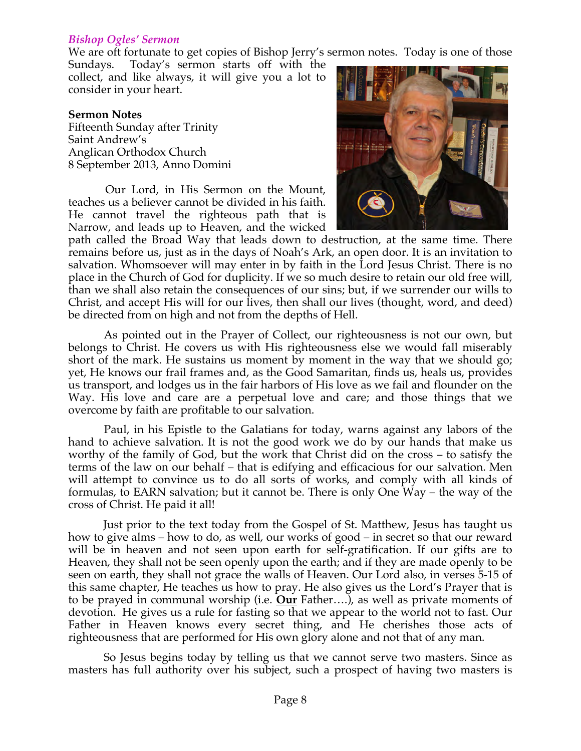#### *Bishop Ogles' Sermon*

We are oft fortunate to get copies of Bishop Jerry's sermon notes. Today is one of those

Sundays. Today's sermon starts off with the collect, and like always, it will give you a lot to consider in your heart.

**Sermon Notes** Fifteenth Sunday after Trinity Saint Andrew's Anglican Orthodox Church 8 September 2013, Anno Domini

 Our Lord, in His Sermon on the Mount, teaches us a believer cannot be divided in his faith. He cannot travel the righteous path that is Narrow, and leads up to Heaven, and the wicked



path called the Broad Way that leads down to destruction, at the same time. There remains before us, just as in the days of Noah's Ark, an open door. It is an invitation to salvation. Whomsoever will may enter in by faith in the Lord Jesus Christ. There is no place in the Church of God for duplicity. If we so much desire to retain our old free will, than we shall also retain the consequences of our sins; but, if we surrender our wills to Christ, and accept His will for our lives, then shall our lives (thought, word, and deed) be directed from on high and not from the depths of Hell.

 As pointed out in the Prayer of Collect, our righteousness is not our own, but belongs to Christ. He covers us with His righteousness else we would fall miserably short of the mark. He sustains us moment by moment in the way that we should go; yet, He knows our frail frames and, as the Good Samaritan, finds us, heals us, provides us transport, and lodges us in the fair harbors of His love as we fail and flounder on the Way. His love and care are a perpetual love and care; and those things that we overcome by faith are profitable to our salvation.

 Paul, in his Epistle to the Galatians for today, warns against any labors of the hand to achieve salvation. It is not the good work we do by our hands that make us worthy of the family of God, but the work that Christ did on the cross – to satisfy the terms of the law on our behalf – that is edifying and efficacious for our salvation. Men will attempt to convince us to do all sorts of works, and comply with all kinds of formulas, to EARN salvation; but it cannot be. There is only One Way – the way of the cross of Christ. He paid it all!

 Just prior to the text today from the Gospel of St. Matthew, Jesus has taught us how to give alms – how to do, as well, our works of good – in secret so that our reward will be in heaven and not seen upon earth for self-gratification. If our gifts are to Heaven, they shall not be seen openly upon the earth; and if they are made openly to be seen on earth, they shall not grace the walls of Heaven. Our Lord also, in verses 5-15 of this same chapter, He teaches us how to pray. He also gives us the Lord's Prayer that is to be prayed in communal worship (i.e. **Our** Father….), as well as private moments of devotion. He gives us a rule for fasting so that we appear to the world not to fast. Our Father in Heaven knows every secret thing, and He cherishes those acts of righteousness that are performed for His own glory alone and not that of any man.

 So Jesus begins today by telling us that we cannot serve two masters. Since as masters has full authority over his subject, such a prospect of having two masters is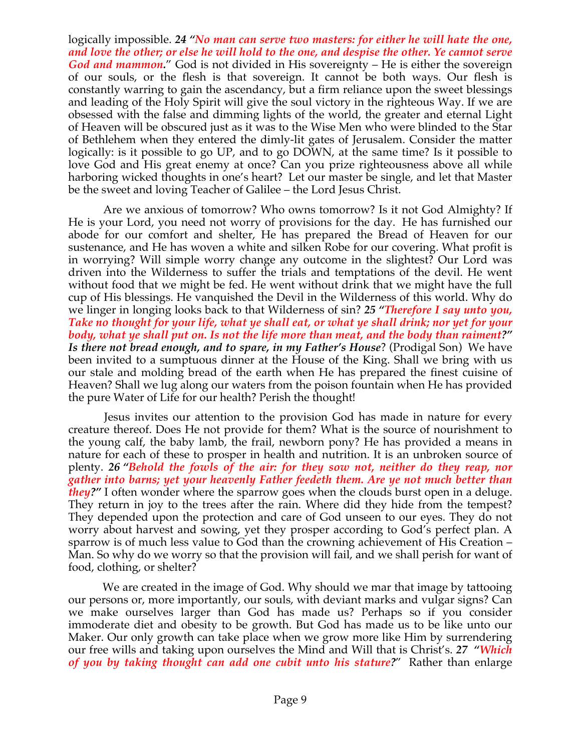logically impossible. *24 "No man can serve two masters: for either he will hate the one, and love the other; or else he will hold to the one, and despise the other. Ye cannot serve God and mammon.*" God is not divided in His sovereignty – He is either the sovereign of our souls, or the flesh is that sovereign. It cannot be both ways. Our flesh is constantly warring to gain the ascendancy, but a firm reliance upon the sweet blessings and leading of the Holy Spirit will give the soul victory in the righteous Way. If we are obsessed with the false and dimming lights of the world, the greater and eternal Light of Heaven will be obscured just as it was to the Wise Men who were blinded to the Star of Bethlehem when they entered the dimly-lit gates of Jerusalem. Consider the matter logically: is it possible to go UP, and to go DOWN, at the same time? Is it possible to love God and His great enemy at once? Can you prize righteousness above all while harboring wicked thoughts in one's heart? Let our master be single, and let that Master be the sweet and loving Teacher of Galilee – the Lord Jesus Christ.

 Are we anxious of tomorrow? Who owns tomorrow? Is it not God Almighty? If He is your Lord, you need not worry of provisions for the day. He has furnished our abode for our comfort and shelter, He has prepared the Bread of Heaven for our sustenance, and He has woven a white and silken Robe for our covering. What profit is in worrying? Will simple worry change any outcome in the slightest? Our Lord was driven into the Wilderness to suffer the trials and temptations of the devil. He went without food that we might be fed. He went without drink that we might have the full cup of His blessings. He vanquished the Devil in the Wilderness of this world. Why do we linger in longing looks back to that Wilderness of sin? *25 "Therefore I say unto you, Take no thought for your life, what ye shall eat, or what ye shall drink; nor yet for your body, what ye shall put on. Is not the life more than meat, and the body than raiment?" Is there not bread enough, and to spare, in my Father's House*? (Prodigal Son) We have been invited to a sumptuous dinner at the House of the King. Shall we bring with us our stale and molding bread of the earth when He has prepared the finest cuisine of Heaven? Shall we lug along our waters from the poison fountain when He has provided the pure Water of Life for our health? Perish the thought!

 Jesus invites our attention to the provision God has made in nature for every creature thereof. Does He not provide for them? What is the source of nourishment to the young calf, the baby lamb, the frail, newborn pony? He has provided a means in nature for each of these to prosper in health and nutrition. It is an unbroken source of plenty. *26 "Behold the fowls of the air: for they sow not, neither do they reap, nor gather into barns; yet your heavenly Father feedeth them. Are ye not much better than they?"* I often wonder where the sparrow goes when the clouds burst open in a deluge. They return in joy to the trees after the rain. Where did they hide from the tempest? They depended upon the protection and care of God unseen to our eyes. They do not worry about harvest and sowing, yet they prosper according to God's perfect plan. A sparrow is of much less value to God than the crowning achievement of His Creation – Man. So why do we worry so that the provision will fail, and we shall perish for want of food, clothing, or shelter?

 We are created in the image of God. Why should we mar that image by tattooing our persons or, more importantly, our souls, with deviant marks and vulgar signs? Can we make ourselves larger than God has made us? Perhaps so if you consider immoderate diet and obesity to be growth. But God has made us to be like unto our Maker. Our only growth can take place when we grow more like Him by surrendering our free wills and taking upon ourselves the Mind and Will that is Christ's. *27 "Which of you by taking thought can add one cubit unto his stature?*" Rather than enlarge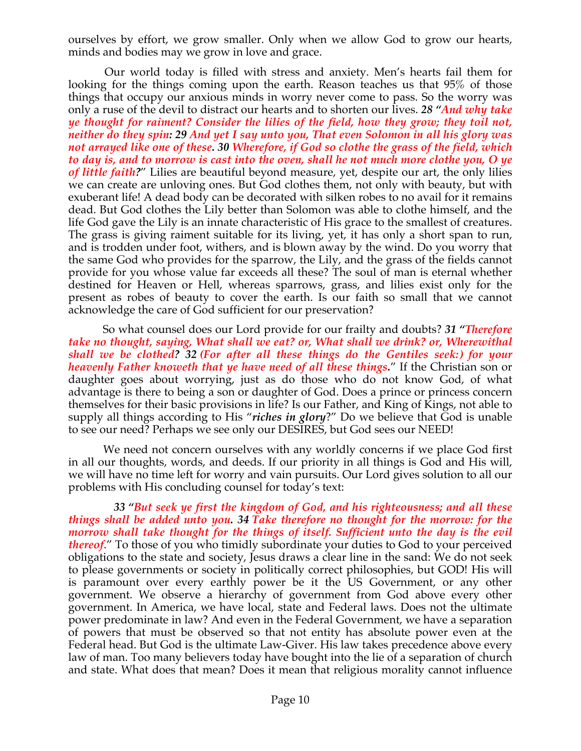ourselves by effort, we grow smaller. Only when we allow God to grow our hearts, minds and bodies may we grow in love and grace.

 Our world today is filled with stress and anxiety. Men's hearts fail them for looking for the things coming upon the earth. Reason teaches us that 95% of those things that occupy our anxious minds in worry never come to pass. So the worry was only a ruse of the devil to distract our hearts and to shorten our lives. *28 "And why take ye thought for raiment? Consider the lilies of the field, how they grow; they toil not, neither do they spin: 29 And yet I say unto you, That even Solomon in all his glory was not arrayed like one of these. 30 Wherefore, if God so clothe the grass of the field, which to day is, and to morrow is cast into the oven, shall he not much more clothe you, O ye of little faith?*" Lilies are beautiful beyond measure, yet, despite our art, the only lilies we can create are unloving ones. But God clothes them, not only with beauty, but with exuberant life! A dead body can be decorated with silken robes to no avail for it remains dead. But God clothes the Lily better than Solomon was able to clothe himself, and the life God gave the Lily is an innate characteristic of His grace to the smallest of creatures. The grass is giving raiment suitable for its living, yet, it has only a short span to run, and is trodden under foot, withers, and is blown away by the wind. Do you worry that the same God who provides for the sparrow, the Lily, and the grass of the fields cannot provide for you whose value far exceeds all these? The soul of man is eternal whether destined for Heaven or Hell, whereas sparrows, grass, and lilies exist only for the present as robes of beauty to cover the earth. Is our faith so small that we cannot acknowledge the care of God sufficient for our preservation?

 So what counsel does our Lord provide for our frailty and doubts? *31 "Therefore take no thought, saying, What shall we eat? or, What shall we drink? or, Wherewithal shall we be clothed? 32 (For after all these things do the Gentiles seek:) for your heavenly Father knoweth that ye have need of all these things.*" If the Christian son or daughter goes about worrying, just as do those who do not know God, of what advantage is there to being a son or daughter of God. Does a prince or princess concern themselves for their basic provisions in life? Is our Father, and King of Kings, not able to supply all things according to His "*riches in glory*?" Do we believe that God is unable to see our need? Perhaps we see only our DESIRES, but God sees our NEED!

 We need not concern ourselves with any worldly concerns if we place God first in all our thoughts, words, and deeds. If our priority in all things is God and His will, we will have no time left for worry and vain pursuits. Our Lord gives solution to all our problems with His concluding counsel for today's text:

*33 "But seek ye first the kingdom of God, and his righteousness; and all these things shall be added unto you. 34 Take therefore no thought for the morrow: for the morrow shall take thought for the things of itself. Sufficient unto the day is the evil thereof*." To those of you who timidly subordinate your duties to God to your perceived obligations to the state and society, Jesus draws a clear line in the sand: We do not seek to please governments or society in politically correct philosophies, but GOD! His will is paramount over every earthly power be it the US Government, or any other government. We observe a hierarchy of government from God above every other government. In America, we have local, state and Federal laws. Does not the ultimate power predominate in law? And even in the Federal Government, we have a separation of powers that must be observed so that not entity has absolute power even at the Federal head. But God is the ultimate Law-Giver. His law takes precedence above every law of man. Too many believers today have bought into the lie of a separation of church and state. What does that mean? Does it mean that religious morality cannot influence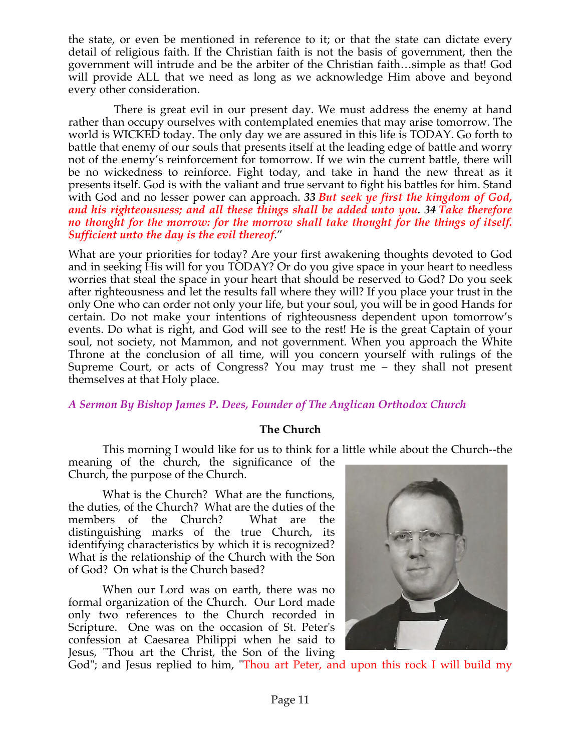the state, or even be mentioned in reference to it; or that the state can dictate every detail of religious faith. If the Christian faith is not the basis of government, then the government will intrude and be the arbiter of the Christian faith…simple as that! God will provide ALL that we need as long as we acknowledge Him above and beyond every other consideration.

There is great evil in our present day. We must address the enemy at hand rather than occupy ourselves with contemplated enemies that may arise tomorrow. The world is WICKED today. The only day we are assured in this life is TODAY. Go forth to battle that enemy of our souls that presents itself at the leading edge of battle and worry not of the enemy's reinforcement for tomorrow. If we win the current battle, there will be no wickedness to reinforce. Fight today, and take in hand the new threat as it presents itself. God is with the valiant and true servant to fight his battles for him. Stand with God and no lesser power can approach. *33 But seek ye first the kingdom of God, and his righteousness; and all these things shall be added unto you. 34 Take therefore no thought for the morrow: for the morrow shall take thought for the things of itself. Sufficient unto the day is the evil thereof*."

What are your priorities for today? Are your first awakening thoughts devoted to God and in seeking His will for you TODAY? Or do you give space in your heart to needless worries that steal the space in your heart that should be reserved to God? Do you seek after righteousness and let the results fall where they will? If you place your trust in the only One who can order not only your life, but your soul, you will be in good Hands for certain. Do not make your intentions of righteousness dependent upon tomorrow's events. Do what is right, and God will see to the rest! He is the great Captain of your soul, not society, not Mammon, and not government. When you approach the White Throne at the conclusion of all time, will you concern yourself with rulings of the Supreme Court, or acts of Congress? You may trust me – they shall not present themselves at that Holy place.

*A Sermon By Bishop James P. Dees, Founder of The Anglican Orthodox Church*

### **The Church**

This morning I would like for us to think for a little while about the Church--the

meaning of the church, the significance of the Church, the purpose of the Church.

What is the Church? What are the functions, the duties, of the Church? What are the duties of the members of the Church? What are the distinguishing marks of the true Church, its identifying characteristics by which it is recognized? What is the relationship of the Church with the Son of God? On what is the Church based?

When our Lord was on earth, there was no formal organization of the Church. Our Lord made only two references to the Church recorded in Scripture. One was on the occasion of St. Peter's confession at Caesarea Philippi when he said to Jesus, "Thou art the Christ, the Son of the living



God"; and Jesus replied to him, "Thou art Peter, and upon this rock I will build my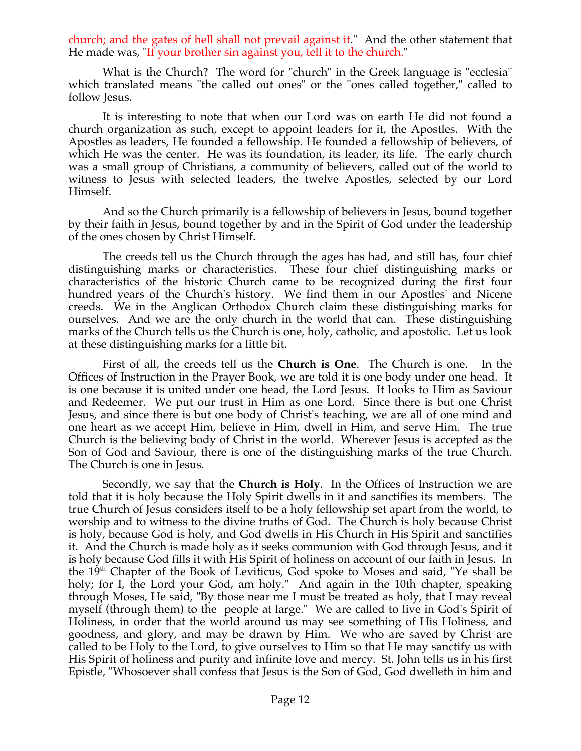church; and the gates of hell shall not prevail against it." And the other statement that He made was, "If your brother sin against you, tell it to the church."

What is the Church? The word for "church" in the Greek language is "ecclesia" which translated means "the called out ones" or the "ones called together," called to follow Jesus.

It is interesting to note that when our Lord was on earth He did not found a church organization as such, except to appoint leaders for it, the Apostles. With the Apostles as leaders, He founded a fellowship. He founded a fellowship of believers, of which He was the center. He was its foundation, its leader, its life. The early church was a small group of Christians, a community of believers, called out of the world to witness to Jesus with selected leaders, the twelve Apostles, selected by our Lord Himself.

And so the Church primarily is a fellowship of believers in Jesus, bound together by their faith in Jesus, bound together by and in the Spirit of God under the leadership of the ones chosen by Christ Himself.

The creeds tell us the Church through the ages has had, and still has, four chief distinguishing marks or characteristics. These four chief distinguishing marks or characteristics of the historic Church came to be recognized during the first four hundred years of the Church's history. We find them in our Apostles' and Nicene creeds. We in the Anglican Orthodox Church claim these distinguishing marks for ourselves. And we are the only church in the world that can. These distinguishing marks of the Church tells us the Church is one, holy, catholic, and apostolic. Let us look at these distinguishing marks for a little bit.

First of all, the creeds tell us the **Church is One**. The Church is one. In the Offices of Instruction in the Prayer Book, we are told it is one body under one head. It is one because it is united under one head, the Lord Jesus. It looks to Him as Saviour and Redeemer. We put our trust in Him as one Lord. Since there is but one Christ Jesus, and since there is but one body of Christ's teaching, we are all of one mind and one heart as we accept Him, believe in Him, dwell in Him, and serve Him. The true Church is the believing body of Christ in the world. Wherever Jesus is accepted as the Son of God and Saviour, there is one of the distinguishing marks of the true Church. The Church is one in Jesus.

Secondly, we say that the **Church is Holy**. In the Offices of Instruction we are told that it is holy because the Holy Spirit dwells in it and sanctifies its members. The true Church of Jesus considers itself to be a holy fellowship set apart from the world, to worship and to witness to the divine truths of God. The Church is holy because Christ is holy, because God is holy, and God dwells in His Church in His Spirit and sanctifies it. And the Church is made holy as it seeks communion with God through Jesus, and it is holy because God fills it with His Spirit of holiness on account of our faith in Jesus. In the  $19<sup>th</sup>$  Chapter of the Book of Leviticus, God spoke to Moses and said, "Ye shall be holy; for I, the Lord your God, am holy." And again in the 10th chapter, speaking through Moses, He said, "By those near me I must be treated as holy, that I may reveal myself (through them) to the people at large." We are called to live in God's Spirit of Holiness, in order that the world around us may see something of His Holiness, and goodness, and glory, and may be drawn by Him. We who are saved by Christ are called to be Holy to the Lord, to give ourselves to Him so that He may sanctify us with His Spirit of holiness and purity and infinite love and mercy. St. John tells us in his first Epistle, "Whosoever shall confess that Jesus is the Son of God, God dwelleth in him and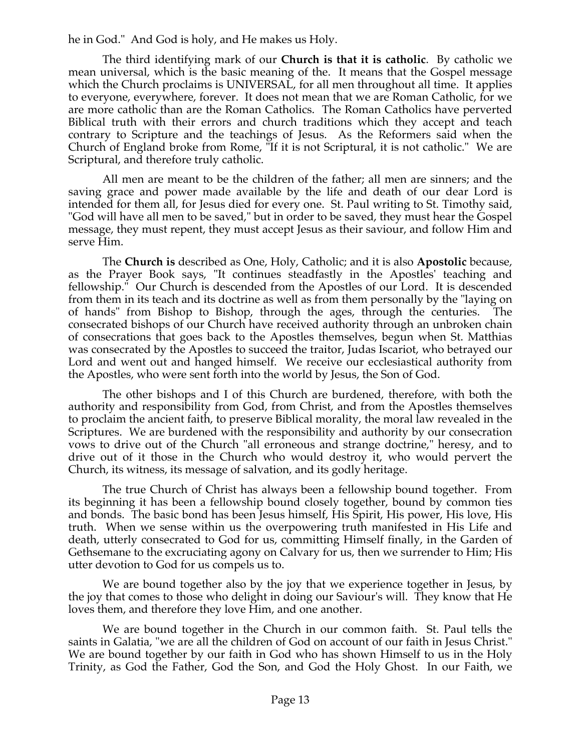he in God." And God is holy, and He makes us Holy.

The third identifying mark of our **Church is that it is catholic**. By catholic we mean universal, which is the basic meaning of the. It means that the Gospel message which the Church proclaims is UNIVERSAL, for all men throughout all time. It applies to everyone, everywhere, forever. It does not mean that we are Roman Catholic, for we are more catholic than are the Roman Catholics. The Roman Catholics have perverted Biblical truth with their errors and church traditions which they accept and teach contrary to Scripture and the teachings of Jesus. As the Reformers said when the Church of England broke from Rome, "If it is not Scriptural, it is not catholic." We are Scriptural, and therefore truly catholic.

All men are meant to be the children of the father; all men are sinners; and the saving grace and power made available by the life and death of our dear Lord is intended for them all, for Jesus died for every one. St. Paul writing to St. Timothy said, "God will have all men to be saved," but in order to be saved, they must hear the Gospel message, they must repent, they must accept Jesus as their saviour, and follow Him and serve Him.

The **Church is** described as One, Holy, Catholic; and it is also **Apostolic** because, as the Prayer Book says, "It continues steadfastly in the Apostles' teaching and fellowship." Our Church is descended from the Apostles of our Lord. It is descended from them in its teach and its doctrine as well as from them personally by the "laying on of hands" from Bishop to Bishop, through the ages, through the centuries. The consecrated bishops of our Church have received authority through an unbroken chain of consecrations that goes back to the Apostles themselves, begun when St. Matthias was consecrated by the Apostles to succeed the traitor, Judas Iscariot, who betrayed our Lord and went out and hanged himself. We receive our ecclesiastical authority from the Apostles, who were sent forth into the world by Jesus, the Son of God.

The other bishops and I of this Church are burdened, therefore, with both the authority and responsibility from God, from Christ, and from the Apostles themselves to proclaim the ancient faith, to preserve Biblical morality, the moral law revealed in the Scriptures. We are burdened with the responsibility and authority by our consecration vows to drive out of the Church "all erroneous and strange doctrine," heresy, and to drive out of it those in the Church who would destroy it, who would pervert the Church, its witness, its message of salvation, and its godly heritage.

The true Church of Christ has always been a fellowship bound together. From its beginning it has been a fellowship bound closely together, bound by common ties and bonds. The basic bond has been Jesus himself, His Spirit, His power, His love, His truth. When we sense within us the overpowering truth manifested in His Life and death, utterly consecrated to God for us, committing Himself finally, in the Garden of Gethsemane to the excruciating agony on Calvary for us, then we surrender to Him; His utter devotion to God for us compels us to.

We are bound together also by the joy that we experience together in Jesus, by the joy that comes to those who delight in doing our Saviour's will. They know that He loves them, and therefore they love Him, and one another.

We are bound together in the Church in our common faith. St. Paul tells the saints in Galatia, "we are all the children of God on account of our faith in Jesus Christ." We are bound together by our faith in God who has shown Himself to us in the Holy Trinity, as God the Father, God the Son, and God the Holy Ghost. In our Faith, we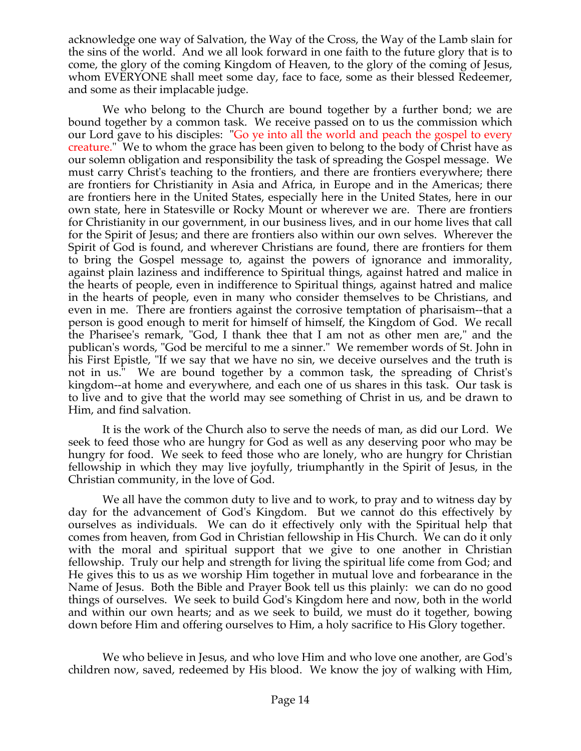acknowledge one way of Salvation, the Way of the Cross, the Way of the Lamb slain for the sins of the world. And we all look forward in one faith to the future glory that is to come, the glory of the coming Kingdom of Heaven, to the glory of the coming of Jesus, whom EVERYONE shall meet some day, face to face, some as their blessed Redeemer, and some as their implacable judge.

We who belong to the Church are bound together by a further bond; we are bound together by a common task. We receive passed on to us the commission which our Lord gave to his disciples: "Go ye into all the world and peach the gospel to every creature." We to whom the grace has been given to belong to the body of Christ have as our solemn obligation and responsibility the task of spreading the Gospel message. We must carry Christ's teaching to the frontiers, and there are frontiers everywhere; there are frontiers for Christianity in Asia and Africa, in Europe and in the Americas; there are frontiers here in the United States, especially here in the United States, here in our own state, here in Statesville or Rocky Mount or wherever we are. There are frontiers for Christianity in our government, in our business lives, and in our home lives that call for the Spirit of Jesus; and there are frontiers also within our own selves. Wherever the Spirit of God is found, and wherever Christians are found, there are frontiers for them to bring the Gospel message to, against the powers of ignorance and immorality, against plain laziness and indifference to Spiritual things, against hatred and malice in the hearts of people, even in indifference to Spiritual things, against hatred and malice in the hearts of people, even in many who consider themselves to be Christians, and even in me. There are frontiers against the corrosive temptation of pharisaism--that a person is good enough to merit for himself of himself, the Kingdom of God. We recall the Pharisee's remark, "God, I thank thee that I am not as other men are," and the publican's words, "God be merciful to me a sinner." We remember words of St. John in his First Epistle, "If we say that we have no sin, we deceive ourselves and the truth is not in us." We are bound together by a common task, the spreading of Christ's kingdom--at home and everywhere, and each one of us shares in this task. Our task is to live and to give that the world may see something of Christ in us, and be drawn to Him, and find salvation.

It is the work of the Church also to serve the needs of man, as did our Lord. We seek to feed those who are hungry for God as well as any deserving poor who may be hungry for food. We seek to feed those who are lonely, who are hungry for Christian fellowship in which they may live joyfully, triumphantly in the Spirit of Jesus, in the Christian community, in the love of God.

We all have the common duty to live and to work, to pray and to witness day by day for the advancement of God's Kingdom. But we cannot do this effectively by ourselves as individuals. We can do it effectively only with the Spiritual help that comes from heaven, from God in Christian fellowship in His Church. We can do it only with the moral and spiritual support that we give to one another in Christian fellowship. Truly our help and strength for living the spiritual life come from God; and He gives this to us as we worship Him together in mutual love and forbearance in the Name of Jesus. Both the Bible and Prayer Book tell us this plainly: we can do no good things of ourselves. We seek to build God's Kingdom here and now, both in the world and within our own hearts; and as we seek to build, we must do it together, bowing down before Him and offering ourselves to Him, a holy sacrifice to His Glory together.

We who believe in Jesus, and who love Him and who love one another, are God's children now, saved, redeemed by His blood. We know the joy of walking with Him,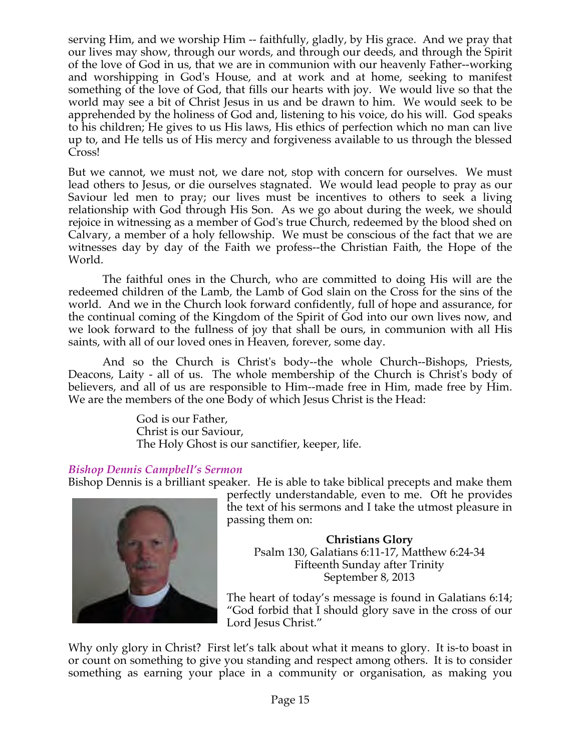serving Him, and we worship Him -- faithfully, gladly, by His grace. And we pray that our lives may show, through our words, and through our deeds, and through the Spirit of the love of God in us, that we are in communion with our heavenly Father--working and worshipping in God's House, and at work and at home, seeking to manifest something of the love of God, that fills our hearts with joy. We would live so that the world may see a bit of Christ Jesus in us and be drawn to him. We would seek to be apprehended by the holiness of God and, listening to his voice, do his will. God speaks to his children; He gives to us His laws, His ethics of perfection which no man can live up to, and He tells us of His mercy and forgiveness available to us through the blessed Cross!

But we cannot, we must not, we dare not, stop with concern for ourselves. We must lead others to Jesus, or die ourselves stagnated. We would lead people to pray as our Saviour led men to pray; our lives must be incentives to others to seek a living relationship with God through His Son. As we go about during the week, we should rejoice in witnessing as a member of God's true Church, redeemed by the blood shed on Calvary, a member of a holy fellowship. We must be conscious of the fact that we are witnesses day by day of the Faith we profess--the Christian Faith, the Hope of the World.

The faithful ones in the Church, who are committed to doing His will are the redeemed children of the Lamb, the Lamb of God slain on the Cross for the sins of the world. And we in the Church look forward confidently, full of hope and assurance, for the continual coming of the Kingdom of the Spirit of God into our own lives now, and we look forward to the fullness of joy that shall be ours, in communion with all His saints, with all of our loved ones in Heaven, forever, some day.

And so the Church is Christ's body--the whole Church--Bishops, Priests, Deacons, Laity - all of us. The whole membership of the Church is Christ's body of believers, and all of us are responsible to Him--made free in Him, made free by Him. We are the members of the one Body of which Jesus Christ is the Head:

> God is our Father, Christ is our Saviour, The Holy Ghost is our sanctifier, keeper, life.

# *Bishop Dennis Campbell's Sermon*

Bishop Dennis is a brilliant speaker. He is able to take biblical precepts and make them



perfectly understandable, even to me. Oft he provides the text of his sermons and I take the utmost pleasure in passing them on:

**Christians Glory** Psalm 130, Galatians 6:11-17, Matthew 6:24-34 Fifteenth Sunday after Trinity September 8, 2013

The heart of today's message is found in Galatians 6:14; "God forbid that I should glory save in the cross of our Lord Jesus Christ."

Why only glory in Christ? First let's talk about what it means to glory. It is-to boast in or count on something to give you standing and respect among others. It is to consider something as earning your place in a community or organisation, as making you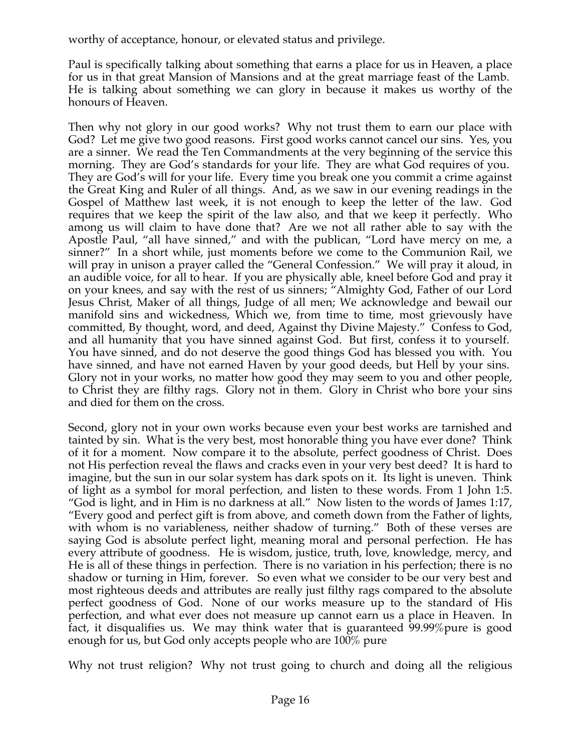worthy of acceptance, honour, or elevated status and privilege.

Paul is specifically talking about something that earns a place for us in Heaven, a place for us in that great Mansion of Mansions and at the great marriage feast of the Lamb. He is talking about something we can glory in because it makes us worthy of the honours of Heaven.

Then why not glory in our good works? Why not trust them to earn our place with God? Let me give two good reasons. First good works cannot cancel our sins. Yes, you are a sinner. We read the Ten Commandments at the very beginning of the service this morning. They are God's standards for your life. They are what God requires of you. They are God's will for your life. Every time you break one you commit a crime against the Great King and Ruler of all things. And, as we saw in our evening readings in the Gospel of Matthew last week, it is not enough to keep the letter of the law. God requires that we keep the spirit of the law also, and that we keep it perfectly. Who among us will claim to have done that? Are we not all rather able to say with the Apostle Paul, "all have sinned," and with the publican, "Lord have mercy on me, a sinner?" In a short while, just moments before we come to the Communion Rail, we will pray in unison a prayer called the "General Confession." We will pray it aloud, in an audible voice, for all to hear. If you are physically able, kneel before God and pray it on your knees, and say with the rest of us sinners; "Almighty God, Father of our Lord Jesus Christ, Maker of all things, Judge of all men; We acknowledge and bewail our manifold sins and wickedness, Which we, from time to time, most grievously have committed, By thought, word, and deed, Against thy Divine Majesty." Confess to God, and all humanity that you have sinned against God. But first, confess it to yourself. You have sinned, and do not deserve the good things God has blessed you with. You have sinned, and have not earned Haven by your good deeds, but Hell by your sins. Glory not in your works, no matter how good they may seem to you and other people, to Christ they are filthy rags. Glory not in them. Glory in Christ who bore your sins and died for them on the cross.

Second, glory not in your own works because even your best works are tarnished and tainted by sin. What is the very best, most honorable thing you have ever done? Think of it for a moment. Now compare it to the absolute, perfect goodness of Christ. Does not His perfection reveal the flaws and cracks even in your very best deed? It is hard to imagine, but the sun in our solar system has dark spots on it. Its light is uneven. Think of light as a symbol for moral perfection, and listen to these words. From 1 John 1:5. "God is light, and in Him is no darkness at all." Now listen to the words of James 1:17, "Every good and perfect gift is from above, and cometh down from the Father of lights, with whom is no variableness, neither shadow of turning." Both of these verses are saying God is absolute perfect light, meaning moral and personal perfection. He has every attribute of goodness. He is wisdom, justice, truth, love, knowledge, mercy, and He is all of these things in perfection. There is no variation in his perfection; there is no shadow or turning in Him, forever. So even what we consider to be our very best and most righteous deeds and attributes are really just filthy rags compared to the absolute perfect goodness of God. None of our works measure up to the standard of His perfection, and what ever does not measure up cannot earn us a place in Heaven. In fact, it disqualifies us. We may think water that is guaranteed 99.99%pure is good enough for us, but God only accepts people who are 100% pure

Why not trust religion? Why not trust going to church and doing all the religious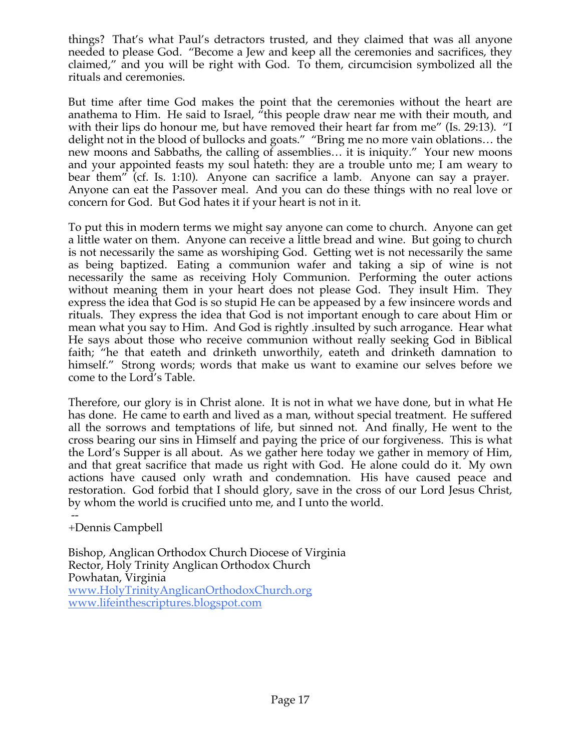things? That's what Paul's detractors trusted, and they claimed that was all anyone needed to please God. "Become a Jew and keep all the ceremonies and sacrifices, they claimed," and you will be right with God. To them, circumcision symbolized all the rituals and ceremonies.

But time after time God makes the point that the ceremonies without the heart are anathema to Him. He said to Israel, "this people draw near me with their mouth, and with their lips do honour me, but have removed their heart far from me" (Is. 29:13). "I delight not in the blood of bullocks and goats." "Bring me no more vain oblations… the new moons and Sabbaths, the calling of assemblies… it is iniquity." Your new moons and your appointed feasts my soul hateth: they are a trouble unto me; I am weary to bear them" (cf. Is. 1:10). Anyone can sacrifice a lamb. Anyone can say a prayer. Anyone can eat the Passover meal. And you can do these things with no real love or concern for God. But God hates it if your heart is not in it.

To put this in modern terms we might say anyone can come to church. Anyone can get a little water on them. Anyone can receive a little bread and wine. But going to church is not necessarily the same as worshiping God. Getting wet is not necessarily the same as being baptized. Eating a communion wafer and taking a sip of wine is not necessarily the same as receiving Holy Communion. Performing the outer actions without meaning them in your heart does not please God. They insult Him. They express the idea that God is so stupid He can be appeased by a few insincere words and rituals. They express the idea that God is not important enough to care about Him or mean what you say to Him. And God is rightly .insulted by such arrogance. Hear what He says about those who receive communion without really seeking God in Biblical faith; "he that eateth and drinketh unworthily, eateth and drinketh damnation to himself." Strong words; words that make us want to examine our selves before we come to the Lord's Table.

Therefore, our glory is in Christ alone. It is not in what we have done, but in what He has done. He came to earth and lived as a man, without special treatment. He suffered all the sorrows and temptations of life, but sinned not. And finally, He went to the cross bearing our sins in Himself and paying the price of our forgiveness. This is what the Lord's Supper is all about. As we gather here today we gather in memory of Him, and that great sacrifice that made us right with God. He alone could do it. My own actions have caused only wrath and condemnation. His have caused peace and restoration. God forbid that I should glory, save in the cross of our Lord Jesus Christ, by whom the world is crucified unto me, and I unto the world.

-- +Dennis Campbell

Bishop, Anglican Orthodox Church Diocese of Virginia Rector, Holy Trinity Anglican Orthodox Church Powhatan, Virginia www.HolyTrinityAnglicanOrthodoxChurch.org www.lifeinthescriptures.blogspot.com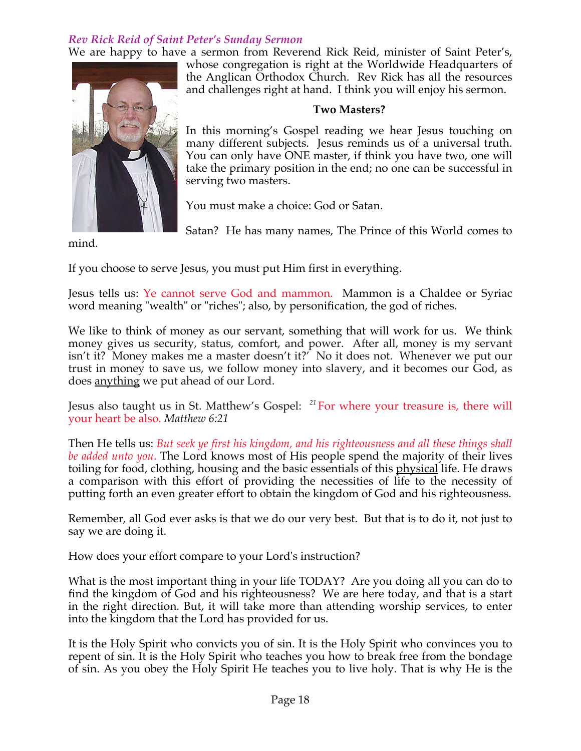# *Rev Rick Reid of Saint Peter's Sunday Sermon*

We are happy to have a sermon from Reverend Rick Reid, minister of Saint Peter's,



whose congregation is right at the Worldwide Headquarters of the Anglican Orthodox Church. Rev Rick has all the resources and challenges right at hand. I think you will enjoy his sermon.

# **Two Masters?**

In this morning's Gospel reading we hear Jesus touching on many different subjects. Jesus reminds us of a universal truth. You can only have ONE master, if think you have two, one will take the primary position in the end; no one can be successful in serving two masters.

You must make a choice: God or Satan.

Satan? He has many names, The Prince of this World comes to

mind.

If you choose to serve Jesus, you must put Him first in everything.

Jesus tells us: Ye cannot serve God and mammon. Mammon is a Chaldee or Syriac word meaning "wealth" or "riches"; also, by personification, the god of riches.

We like to think of money as our servant, something that will work for us. We think money gives us security, status, comfort, and power. After all, money is my servant isn't it? Money makes me a master doesn't it?' No it does not. Whenever we put our trust in money to save us, we follow money into slavery, and it becomes our God, as does anything we put ahead of our Lord.

Jesus also taught us in St. Matthew's Gospel: *<sup>21</sup>* For where your treasure is, there will your heart be also. *Matthew 6:21*

Then He tells us: *But seek ye first his kingdom, and his righteousness and all these things shall be added unto you*. The Lord knows most of His people spend the majority of their lives toiling for food, clothing, housing and the basic essentials of this physical life. He draws a comparison with this effort of providing the necessities of life to the necessity of putting forth an even greater effort to obtain the kingdom of God and his righteousness.

Remember, all God ever asks is that we do our very best. But that is to do it, not just to say we are doing it.

How does your effort compare to your Lord's instruction?

What is the most important thing in your life TODAY? Are you doing all you can do to find the kingdom of God and his righteousness? We are here today, and that is a start in the right direction. But, it will take more than attending worship services, to enter into the kingdom that the Lord has provided for us.

It is the Holy Spirit who convicts you of sin. It is the Holy Spirit who convinces you to repent of sin. It is the Holy Spirit who teaches you how to break free from the bondage of sin. As you obey the Holy Spirit He teaches you to live holy. That is why He is the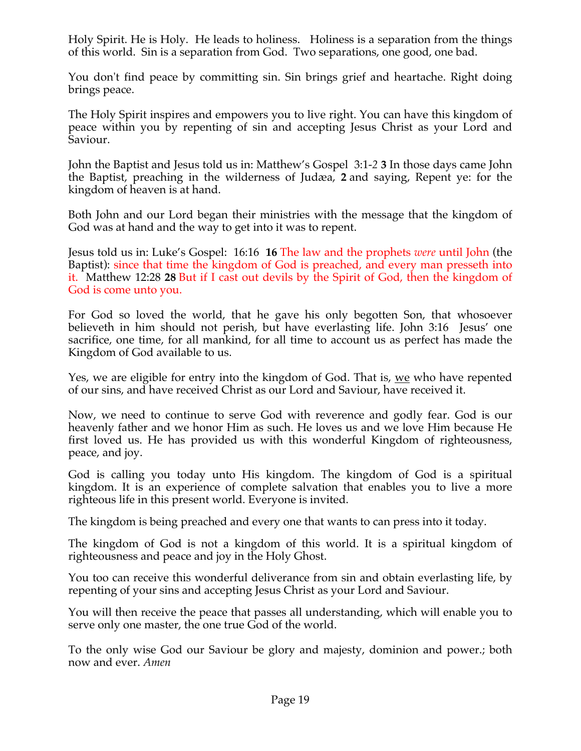Holy Spirit. He is Holy. He leads to holiness. Holiness is a separation from the things of this world. Sin is a separation from God. Two separations, one good, one bad.

You don't find peace by committing sin. Sin brings grief and heartache. Right doing brings peace.

The Holy Spirit inspires and empowers you to live right. You can have this kingdom of peace within you by repenting of sin and accepting Jesus Christ as your Lord and Saviour.

John the Baptist and Jesus told us in: Matthew's Gospel 3:1-*2* **3** In those days came John the Baptist, preaching in the wilderness of Judæa, **2** and saying, Repent ye: for the kingdom of heaven is at hand.

Both John and our Lord began their ministries with the message that the kingdom of God was at hand and the way to get into it was to repent.

Jesus told us in: Luke's Gospel: 16:16 **16** The law and the prophets *were* until John (the Baptist): since that time the kingdom of God is preached, and every man presseth into it.Matthew 12:28 **28** But if I cast out devils by the Spirit of God, then the kingdom of God is come unto you.

For God so loved the world, that he gave his only begotten Son, that whosoever believeth in him should not perish, but have everlasting life. John 3:16 Jesus' one sacrifice, one time, for all mankind, for all time to account us as perfect has made the Kingdom of God available to us.

Yes, we are eligible for entry into the kingdom of God. That is, we who have repented of our sins, and have received Christ as our Lord and Saviour, have received it.

Now, we need to continue to serve God with reverence and godly fear. God is our heavenly father and we honor Him as such. He loves us and we love Him because He first loved us. He has provided us with this wonderful Kingdom of righteousness, peace, and joy.

God is calling you today unto His kingdom. The kingdom of God is a spiritual kingdom. It is an experience of complete salvation that enables you to live a more righteous life in this present world. Everyone is invited.

The kingdom is being preached and every one that wants to can press into it today.

The kingdom of God is not a kingdom of this world. It is a spiritual kingdom of righteousness and peace and joy in the Holy Ghost.

You too can receive this wonderful deliverance from sin and obtain everlasting life, by repenting of your sins and accepting Jesus Christ as your Lord and Saviour.

You will then receive the peace that passes all understanding, which will enable you to serve only one master, the one true God of the world.

To the only wise God our Saviour be glory and majesty, dominion and power.; both now and ever. *Amen*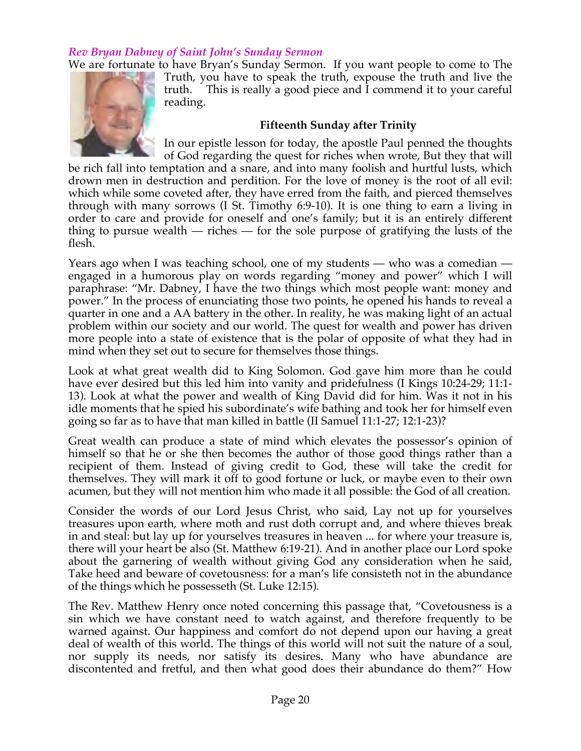# *Rev Bryan Dabney of Saint John's Sunday Sermon*

We are fortunate to have Bryan's Sunday Sermon. If you want people to come to The



Truth, you have to speak the truth, expouse the truth and live the truth. This is really a good piece and I commend it to your careful reading.

#### **Fifteenth Sunday after Trinity**

In our epistle lesson for today, the apostle Paul penned the thoughts of God regarding the quest for riches when wrote, But they that will

be rich fall into temptation and a snare, and into many foolish and hurtful lusts, which drown men in destruction and perdition. For the love of money is the root of all evil: which while some coveted after, they have erred from the faith, and pierced themselves through with many sorrows (I St. Timothy 6:9-10). It is one thing to earn a living in order to care and provide for oneself and one's family; but it is an entirely different thing to pursue wealth — riches — for the sole purpose of gratifying the lusts of the flesh.

Years ago when I was teaching school, one of my students — who was a comedian engaged in a humorous play on words regarding "money and power" which I will paraphrase: "Mr. Dabney, I have the two things which most people want: money and power." In the process of enunciating those two points, he opened his hands to reveal a quarter in one and a AA battery in the other. In reality, he was making light of an actual problem within our society and our world. The quest for wealth and power has driven more people into a state of existence that is the polar of opposite of what they had in mind when they set out to secure for themselves those things.

Look at what great wealth did to King Solomon. God gave him more than he could have ever desired but this led him into vanity and pridefulness (I Kings 10:24-29; 11:1- 13). Look at what the power and wealth of King David did for him. Was it not in his idle moments that he spied his subordinate's wife bathing and took her for himself even going so far as to have that man killed in battle (II Samuel 11:1-27; 12:1-23)?

Great wealth can produce a state of mind which elevates the possessor's opinion of himself so that he or she then becomes the author of those good things rather than a recipient of them. Instead of giving credit to God, these will take the credit for themselves. They will mark it off to good fortune or luck, or maybe even to their own acumen, but they will not mention him who made it all possible: the God of all creation.

Consider the words of our Lord Jesus Christ, who said, Lay not up for yourselves treasures upon earth, where moth and rust doth corrupt and, and where thieves break in and steal: but lay up for yourselves treasures in heaven ... for where your treasure is, there will your heart be also (St. Matthew 6:19-21). And in another place our Lord spoke about the garnering of wealth without giving God any consideration when he said, Take heed and beware of covetousness: for a man's life consisteth not in the abundance of the things which he possesseth (St. Luke 12:15).

The Rev. Matthew Henry once noted concerning this passage that, "Covetousness is a sin which we have constant need to watch against, and therefore frequently to be warned against. Our happiness and comfort do not depend upon our having a great deal of wealth of this world. The things of this world will not suit the nature of a soul, nor supply its needs, nor satisfy its desires. Many who have abundance are discontented and fretful, and then what good does their abundance do them?" How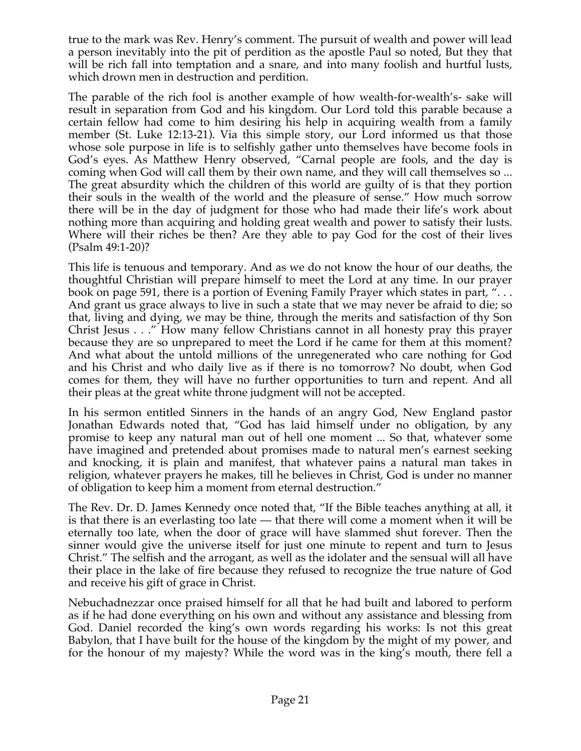true to the mark was Rev. Henry's comment. The pursuit of wealth and power will lead a person inevitably into the pit of perdition as the apostle Paul so noted, But they that will be rich fall into temptation and a snare, and into many foolish and hurtful lusts, which drown men in destruction and perdition.

The parable of the rich fool is another example of how wealth-for-wealth's- sake will result in separation from God and his kingdom. Our Lord told this parable because a certain fellow had come to him desiring his help in acquiring wealth from a family member (St. Luke 12:13-21). Via this simple story, our Lord informed us that those whose sole purpose in life is to selfishly gather unto themselves have become fools in God's eyes. As Matthew Henry observed, "Carnal people are fools, and the day is coming when God will call them by their own name, and they will call themselves so ... The great absurdity which the children of this world are guilty of is that they portion their souls in the wealth of the world and the pleasure of sense." How much sorrow there will be in the day of judgment for those who had made their life's work about nothing more than acquiring and holding great wealth and power to satisfy their lusts. Where will their riches be then? Are they able to pay God for the cost of their lives (Psalm 49:1-20)?

This life is tenuous and temporary. And as we do not know the hour of our deaths, the thoughtful Christian will prepare himself to meet the Lord at any time. In our prayer book on page 591, there is a portion of Evening Family Prayer which states in part, ". . . And grant us grace always to live in such a state that we may never be afraid to die; so that, living and dying, we may be thine, through the merits and satisfaction of thy Son Christ Jesus . . ." How many fellow Christians cannot in all honesty pray this prayer because they are so unprepared to meet the Lord if he came for them at this moment? And what about the untold millions of the unregenerated who care nothing for God and his Christ and who daily live as if there is no tomorrow? No doubt, when God comes for them, they will have no further opportunities to turn and repent. And all their pleas at the great white throne judgment will not be accepted.

In his sermon entitled Sinners in the hands of an angry God, New England pastor Jonathan Edwards noted that, "God has laid himself under no obligation, by any promise to keep any natural man out of hell one moment ... So that, whatever some have imagined and pretended about promises made to natural men's earnest seeking and knocking, it is plain and manifest, that whatever pains a natural man takes in religion, whatever prayers he makes, till he believes in Christ, God is under no manner of obligation to keep him a moment from eternal destruction."

The Rev. Dr. D. James Kennedy once noted that, "If the Bible teaches anything at all, it is that there is an everlasting too late — that there will come a moment when it will be eternally too late, when the door of grace will have slammed shut forever. Then the sinner would give the universe itself for just one minute to repent and turn to Jesus Christ." The selfish and the arrogant, as well as the idolater and the sensual will all have their place in the lake of fire because they refused to recognize the true nature of God and receive his gift of grace in Christ.

Nebuchadnezzar once praised himself for all that he had built and labored to perform as if he had done everything on his own and without any assistance and blessing from God. Daniel recorded the king's own words regarding his works: Is not this great Babylon, that I have built for the house of the kingdom by the might of my power, and for the honour of my majesty? While the word was in the king's mouth, there fell a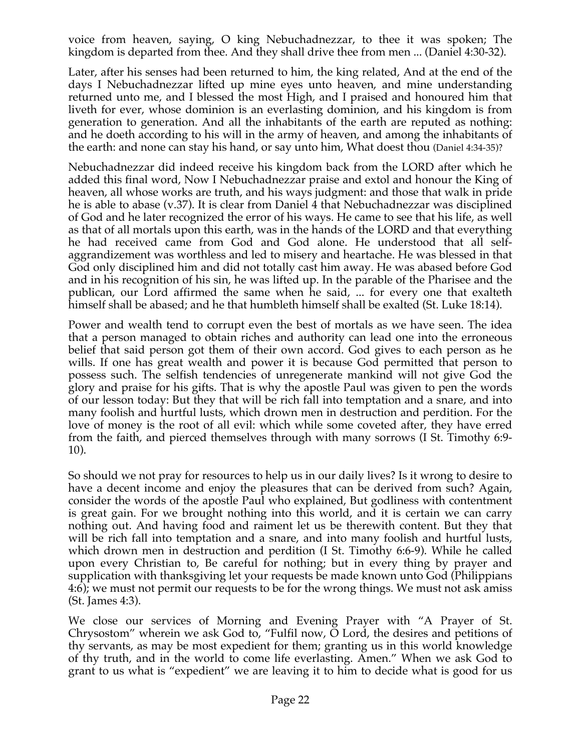voice from heaven, saying, O king Nebuchadnezzar, to thee it was spoken; The kingdom is departed from thee. And they shall drive thee from men ... (Daniel 4:30-32).

Later, after his senses had been returned to him, the king related, And at the end of the days I Nebuchadnezzar lifted up mine eyes unto heaven, and mine understanding returned unto me, and I blessed the most High, and I praised and honoured him that liveth for ever, whose dominion is an everlasting dominion, and his kingdom is from generation to generation. And all the inhabitants of the earth are reputed as nothing: and he doeth according to his will in the army of heaven, and among the inhabitants of the earth: and none can stay his hand, or say unto him, What doest thou (Daniel 4:34-35)?

Nebuchadnezzar did indeed receive his kingdom back from the LORD after which he added this final word, Now I Nebuchadnezzar praise and extol and honour the King of heaven, all whose works are truth, and his ways judgment: and those that walk in pride he is able to abase (v.37). It is clear from Daniel 4 that Nebuchadnezzar was disciplined of God and he later recognized the error of his ways. He came to see that his life, as well as that of all mortals upon this earth, was in the hands of the LORD and that everything he had received came from God and God alone. He understood that all selfaggrandizement was worthless and led to misery and heartache. He was blessed in that God only disciplined him and did not totally cast him away. He was abased before God and in his recognition of his sin, he was lifted up. In the parable of the Pharisee and the publican, our Lord affirmed the same when he said, ... for every one that exalteth himself shall be abased; and he that humbleth himself shall be exalted (St. Luke 18:14).

Power and wealth tend to corrupt even the best of mortals as we have seen. The idea that a person managed to obtain riches and authority can lead one into the erroneous belief that said person got them of their own accord. God gives to each person as he wills. If one has great wealth and power it is because God permitted that person to possess such. The selfish tendencies of unregenerate mankind will not give God the glory and praise for his gifts. That is why the apostle Paul was given to pen the words of our lesson today: But they that will be rich fall into temptation and a snare, and into many foolish and hurtful lusts, which drown men in destruction and perdition. For the love of money is the root of all evil: which while some coveted after, they have erred from the faith, and pierced themselves through with many sorrows (I St. Timothy 6:9- 10).

So should we not pray for resources to help us in our daily lives? Is it wrong to desire to have a decent income and enjoy the pleasures that can be derived from such? Again, consider the words of the apostle Paul who explained, But godliness with contentment is great gain. For we brought nothing into this world, and it is certain we can carry nothing out. And having food and raiment let us be therewith content. But they that will be rich fall into temptation and a snare, and into many foolish and hurtful lusts, which drown men in destruction and perdition (I St. Timothy 6:6-9). While he called upon every Christian to, Be careful for nothing; but in every thing by prayer and supplication with thanksgiving let your requests be made known unto God (Philippians 4:6); we must not permit our requests to be for the wrong things. We must not ask amiss (St. James 4:3).

We close our services of Morning and Evening Prayer with "A Prayer of St. Chrysostom" wherein we ask God to, "Fulfil now,  $\breve{O}$  Lord, the desires and petitions of thy servants, as may be most expedient for them; granting us in this world knowledge of thy truth, and in the world to come life everlasting. Amen." When we ask God to grant to us what is "expedient" we are leaving it to him to decide what is good for us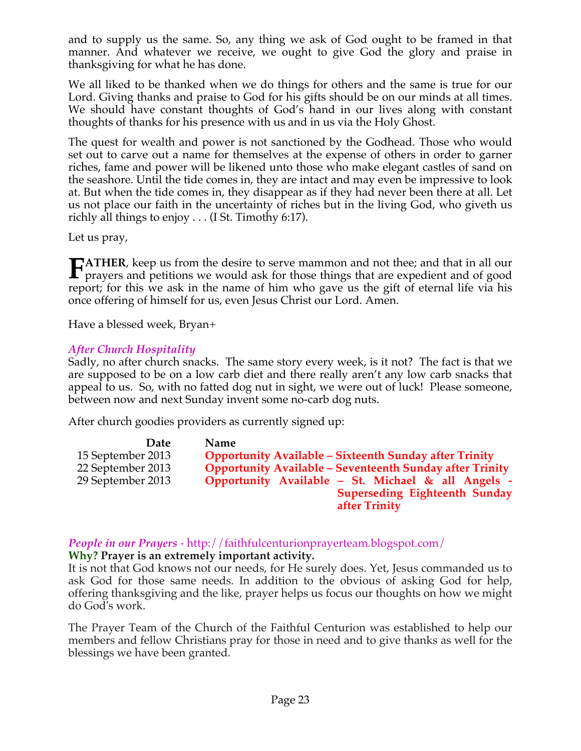and to supply us the same. So, any thing we ask of God ought to be framed in that manner. And whatever we receive, we ought to give God the glory and praise in thanksgiving for what he has done.

We all liked to be thanked when we do things for others and the same is true for our Lord. Giving thanks and praise to God for his gifts should be on our minds at all times. We should have constant thoughts of God's hand in our lives along with constant thoughts of thanks for his presence with us and in us via the Holy Ghost.

The quest for wealth and power is not sanctioned by the Godhead. Those who would set out to carve out a name for themselves at the expense of others in order to garner riches, fame and power will be likened unto those who make elegant castles of sand on the seashore. Until the tide comes in, they are intact and may even be impressive to look at. But when the tide comes in, they disappear as if they had never been there at all. Let us not place our faith in the uncertainty of riches but in the living God, who giveth us richly all things to enjoy . . . (I St. Timothy 6:17).

Let us pray,

**ATHER**, keep us from the desire to serve mammon and not thee; and that in all our **FATHER**, keep us from the desire to serve mammon and not thee; and that in all our prayers and petitions we would ask for those things that are expedient and of good report; for this we ask in the name of him who gave us the gift of eternal life via his once offering of himself for us, even Jesus Christ our Lord. Amen.

Have a blessed week, Bryan+

# *After Church Hospitality*

Sadly, no after church snacks. The same story every week, is it not? The fact is that we are supposed to be on a low carb diet and there really aren't any low carb snacks that appeal to us. So, with no fatted dog nut in sight, we were out of luck! Please someone, between now and next Sunday invent some no-carb dog nuts.

After church goodies providers as currently signed up:

| Date              | Name                                                            |
|-------------------|-----------------------------------------------------------------|
| 15 September 2013 | <b>Opportunity Available - Sixteenth Sunday after Trinity</b>   |
| 22 September 2013 | <b>Opportunity Available - Seventeenth Sunday after Trinity</b> |
| 29 September 2013 | Opportunity Available - St. Michael & all Angels -              |
|                   | <b>Superseding Eighteenth Sunday</b>                            |
|                   | after Trinity                                                   |

*People in our Prayers* - http://faithfulcenturionprayerteam.blogspot.com/

# **Why? Prayer is an extremely important activity.**

It is not that God knows not our needs, for He surely does. Yet, Jesus commanded us to ask God for those same needs. In addition to the obvious of asking God for help, offering thanksgiving and the like, prayer helps us focus our thoughts on how we might do God's work.

The Prayer Team of the Church of the Faithful Centurion was established to help our members and fellow Christians pray for those in need and to give thanks as well for the blessings we have been granted.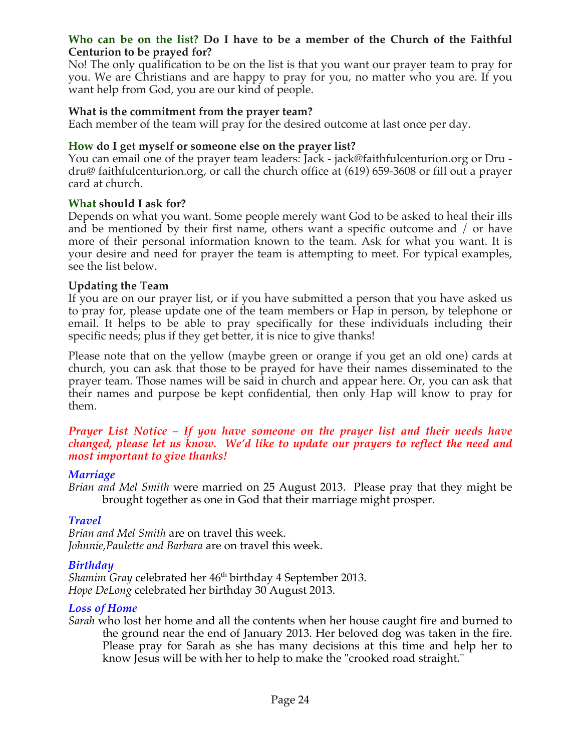## **Who can be on the list? Do I have to be a member of the Church of the Faithful Centurion to be prayed for?**

No! The only qualification to be on the list is that you want our prayer team to pray for you. We are Christians and are happy to pray for you, no matter who you are. If you want help from God, you are our kind of people.

#### **What is the commitment from the prayer team?**

Each member of the team will pray for the desired outcome at last once per day.

#### **How do I get myself or someone else on the prayer list?**

You can email one of the prayer team leaders: Jack - jack@faithfulcenturion.org or Dru dru@ faithfulcenturion.org, or call the church office at (619) 659-3608 or fill out a prayer card at church.

#### **What should I ask for?**

Depends on what you want. Some people merely want God to be asked to heal their ills and be mentioned by their first name, others want a specific outcome and / or have more of their personal information known to the team. Ask for what you want. It is your desire and need for prayer the team is attempting to meet. For typical examples, see the list below.

#### **Updating the Team**

If you are on our prayer list, or if you have submitted a person that you have asked us to pray for, please update one of the team members or Hap in person, by telephone or email. It helps to be able to pray specifically for these individuals including their specific needs; plus if they get better, it is nice to give thanks!

Please note that on the yellow (maybe green or orange if you get an old one) cards at church, you can ask that those to be prayed for have their names disseminated to the prayer team. Those names will be said in church and appear here. Or, you can ask that their names and purpose be kept confidential, then only Hap will know to pray for them.

#### *Prayer List Notice – If you have someone on the prayer list and their needs have changed, please let us know. We'd like to update our prayers to reflect the need and most important to give thanks!*

### *Marriage*

*Brian and Mel Smith* were married on 25 August 2013. Please pray that they might be brought together as one in God that their marriage might prosper.

### *Travel*

*Brian and Mel Smith* are on travel this week. *Johnnie,Paulette and Barbara* are on travel this week.

### *Birthday*

*Shamim Gray* celebrated her 46<sup>th</sup> birthday 4 September 2013. *Hope DeLong* celebrated her birthday 30 August 2013.

### *Loss of Home*

*Sarah* who lost her home and all the contents when her house caught fire and burned to the ground near the end of January 2013. Her beloved dog was taken in the fire. Please pray for Sarah as she has many decisions at this time and help her to know Jesus will be with her to help to make the "crooked road straight."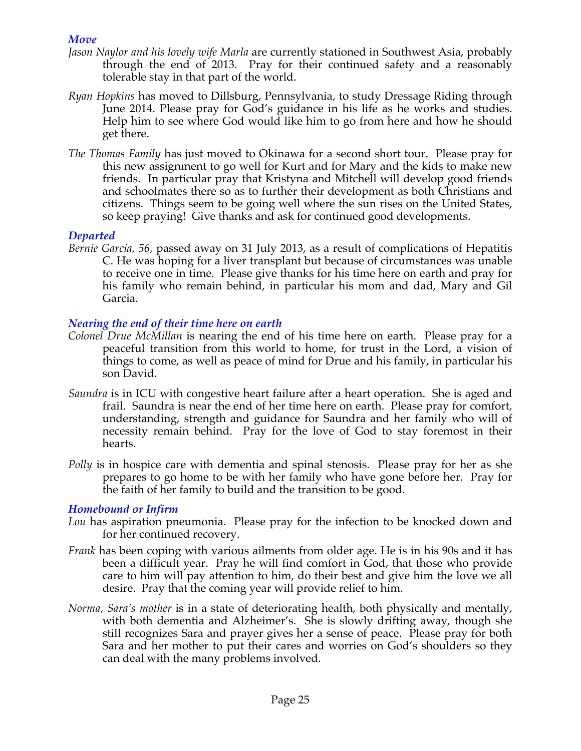### *Move*

- *Jason Naylor and his lovely wife Marla* are currently stationed in Southwest Asia, probably through the end of 2013. Pray for their continued safety and a reasonably tolerable stay in that part of the world.
- *Ryan Hopkins* has moved to Dillsburg, Pennsylvania, to study Dressage Riding through June 2014. Please pray for God's guidance in his life as he works and studies. Help him to see where God would like him to go from here and how he should get there.
- *The Thomas Family* has just moved to Okinawa for a second short tour. Please pray for this new assignment to go well for Kurt and for Mary and the kids to make new friends. In particular pray that Kristyna and Mitchell will develop good friends and schoolmates there so as to further their development as both Christians and citizens. Things seem to be going well where the sun rises on the United States, so keep praying! Give thanks and ask for continued good developments.

### *Departed*

*Bernie Garcia, 56,* passed away on 31 July 2013, as a result of complications of Hepatitis C. He was hoping for a liver transplant but because of circumstances was unable to receive one in time. Please give thanks for his time here on earth and pray for his family who remain behind, in particular his mom and dad, Mary and Gil Garcia.

### *Nearing the end of their time here on earth*

- *Colonel Drue McMillan* is nearing the end of his time here on earth. Please pray for a peaceful transition from this world to home, for trust in the Lord, a vision of things to come, as well as peace of mind for Drue and his family, in particular his son David.
- *Saundra* is in ICU with congestive heart failure after a heart operation. She is aged and frail. Saundra is near the end of her time here on earth. Please pray for comfort, understanding, strength and guidance for Saundra and her family who will of necessity remain behind. Pray for the love of God to stay foremost in their hearts.
- *Polly* is in hospice care with dementia and spinal stenosis. Please pray for her as she prepares to go home to be with her family who have gone before her. Pray for the faith of her family to build and the transition to be good.

### *Homebound or Infirm*

- *Lou* has aspiration pneumonia. Please pray for the infection to be knocked down and for her continued recovery.
- *Frank* has been coping with various ailments from older age. He is in his 90s and it has been a difficult year. Pray he will find comfort in God, that those who provide care to him will pay attention to him, do their best and give him the love we all desire. Pray that the coming year will provide relief to him.
- *Norma, Sara's mother* is in a state of deteriorating health, both physically and mentally, with both dementia and Alzheimer's. She is slowly drifting away, though she still recognizes Sara and prayer gives her a sense of peace. Please pray for both Sara and her mother to put their cares and worries on God's shoulders so they can deal with the many problems involved.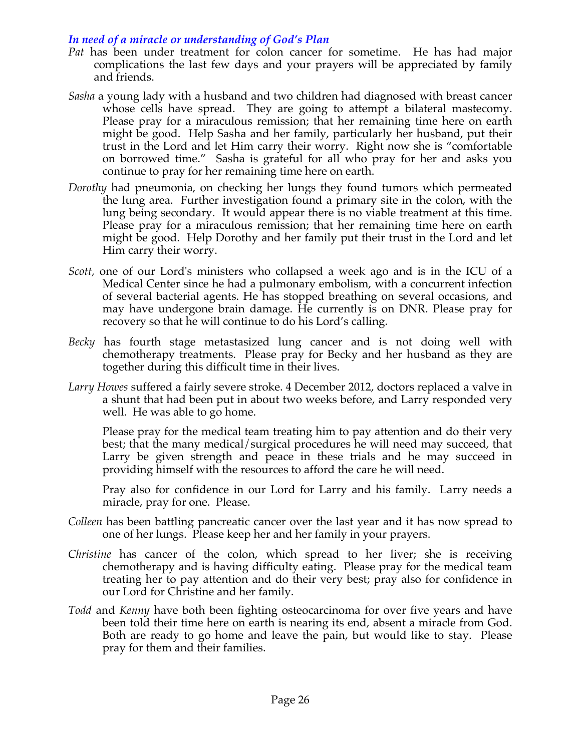# *In need of a miracle or understanding of God's Plan*

- *Pat* has been under treatment for colon cancer for sometime. He has had major complications the last few days and your prayers will be appreciated by family and friends.
- *Sasha* a young lady with a husband and two children had diagnosed with breast cancer whose cells have spread. They are going to attempt a bilateral mastecomy. Please pray for a miraculous remission; that her remaining time here on earth might be good. Help Sasha and her family, particularly her husband, put their trust in the Lord and let Him carry their worry. Right now she is "comfortable on borrowed time." Sasha is grateful for all who pray for her and asks you continue to pray for her remaining time here on earth.
- *Dorothy* had pneumonia, on checking her lungs they found tumors which permeated the lung area. Further investigation found a primary site in the colon, with the lung being secondary. It would appear there is no viable treatment at this time. Please pray for a miraculous remission; that her remaining time here on earth might be good. Help Dorothy and her family put their trust in the Lord and let Him carry their worry.
- *Scott,* one of our Lord's ministers who collapsed a week ago and is in the ICU of a Medical Center since he had a pulmonary embolism, with a concurrent infection of several bacterial agents. He has stopped breathing on several occasions, and may have undergone brain damage. He currently is on DNR. Please pray for recovery so that he will continue to do his Lord's calling*.*
- *Becky* has fourth stage metastasized lung cancer and is not doing well with chemotherapy treatments. Please pray for Becky and her husband as they are together during this difficult time in their lives.
- *Larry Howes* suffered a fairly severe stroke. 4 December 2012, doctors replaced a valve in a shunt that had been put in about two weeks before, and Larry responded very well. He was able to go home.

Please pray for the medical team treating him to pay attention and do their very best; that the many medical/surgical procedures he will need may succeed, that Larry be given strength and peace in these trials and he may succeed in providing himself with the resources to afford the care he will need.

Pray also for confidence in our Lord for Larry and his family. Larry needs a miracle, pray for one. Please.

- *Colleen* has been battling pancreatic cancer over the last year and it has now spread to one of her lungs. Please keep her and her family in your prayers.
- *Christine* has cancer of the colon, which spread to her liver; she is receiving chemotherapy and is having difficulty eating. Please pray for the medical team treating her to pay attention and do their very best; pray also for confidence in our Lord for Christine and her family.
- *Todd* and *Kenny* have both been fighting osteocarcinoma for over five years and have been told their time here on earth is nearing its end, absent a miracle from God. Both are ready to go home and leave the pain, but would like to stay. Please pray for them and their families.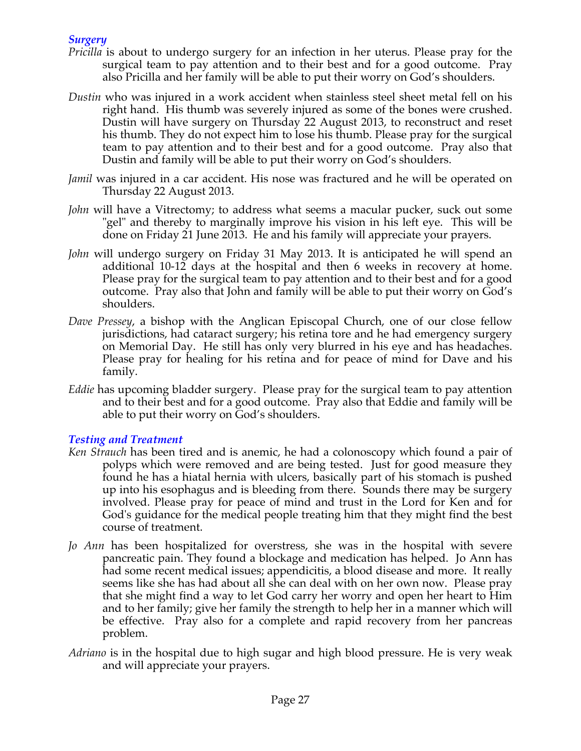# *Surgery*

- *Pricilla* is about to undergo surgery for an infection in her uterus. Please pray for the surgical team to pay attention and to their best and for a good outcome. Pray also Pricilla and her family will be able to put their worry on God's shoulders.
- *Dustin* who was injured in a work accident when stainless steel sheet metal fell on his right hand. His thumb was severely injured as some of the bones were crushed. Dustin will have surgery on Thursday 22 August 2013, to reconstruct and reset his thumb. They do not expect him to lose his thumb. Please pray for the surgical team to pay attention and to their best and for a good outcome. Pray also that Dustin and family will be able to put their worry on God's shoulders.
- *Jamil* was injured in a car accident. His nose was fractured and he will be operated on Thursday 22 August 2013.
- *John* will have a Vitrectomy; to address what seems a macular pucker, suck out some "gel" and thereby to marginally improve his vision in his left eye. This will be done on Friday 21 June 2013. He and his family will appreciate your prayers.
- *John* will undergo surgery on Friday 31 May 2013. It is anticipated he will spend an additional 10-12 days at the hospital and then 6 weeks in recovery at home. Please pray for the surgical team to pay attention and to their best and for a good outcome. Pray also that John and family will be able to put their worry on God's shoulders.
- *Dave Pressey*, a bishop with the Anglican Episcopal Church, one of our close fellow jurisdictions, had cataract surgery; his retina tore and he had emergency surgery on Memorial Day. He still has only very blurred in his eye and has headaches. Please pray for healing for his retina and for peace of mind for Dave and his family.
- *Eddie* has upcoming bladder surgery. Please pray for the surgical team to pay attention and to their best and for a good outcome. Pray also that Eddie and family will be able to put their worry on God's shoulders.

# *Testing and Treatment*

- *Ken Strauch* has been tired and is anemic, he had a colonoscopy which found a pair of polyps which were removed and are being tested. Just for good measure they found he has a hiatal hernia with ulcers, basically part of his stomach is pushed up into his esophagus and is bleeding from there. Sounds there may be surgery involved. Please pray for peace of mind and trust in the Lord for Ken and for God's guidance for the medical people treating him that they might find the best course of treatment.
- *Jo Ann* has been hospitalized for overstress, she was in the hospital with severe pancreatic pain. They found a blockage and medication has helped. Jo Ann has had some recent medical issues; appendicitis, a blood disease and more. It really seems like she has had about all she can deal with on her own now. Please pray that she might find a way to let God carry her worry and open her heart to Him and to her family; give her family the strength to help her in a manner which will be effective. Pray also for a complete and rapid recovery from her pancreas problem.
- *Adriano* is in the hospital due to high sugar and high blood pressure. He is very weak and will appreciate your prayers.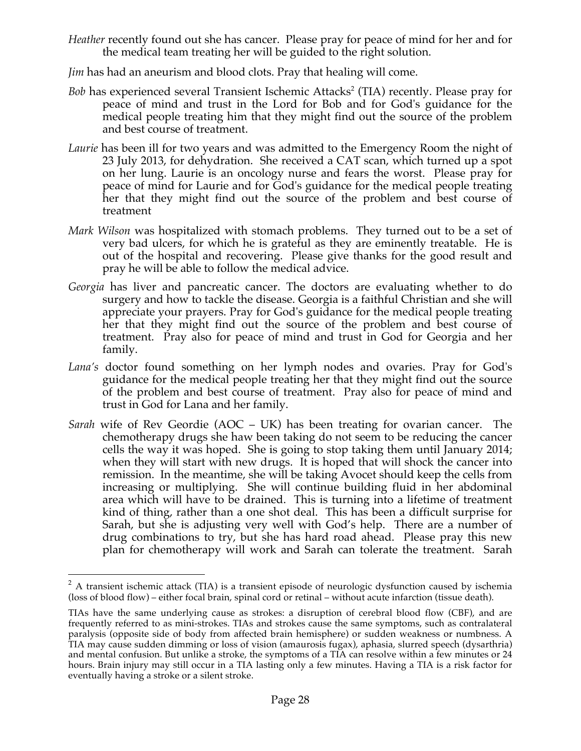*Heather* recently found out she has cancer. Please pray for peace of mind for her and for the medical team treating her will be guided to the right solution.

*Jim* has had an aneurism and blood clots. Pray that healing will come.

- *Bob* has experienced several Transient Ischemic Attacks<sup>2</sup> (TIA) recently. Please pray for peace of mind and trust in the Lord for Bob and for God's guidance for the medical people treating him that they might find out the source of the problem and best course of treatment.
- *Laurie* has been ill for two years and was admitted to the Emergency Room the night of 23 July 2013, for dehydration. She received a CAT scan, which turned up a spot on her lung. Laurie is an oncology nurse and fears the worst. Please pray for peace of mind for Laurie and for God's guidance for the medical people treating her that they might find out the source of the problem and best course of treatment
- *Mark Wilson* was hospitalized with stomach problems. They turned out to be a set of very bad ulcers, for which he is grateful as they are eminently treatable. He is out of the hospital and recovering. Please give thanks for the good result and pray he will be able to follow the medical advice.
- *Georgia* has liver and pancreatic cancer. The doctors are evaluating whether to do surgery and how to tackle the disease. Georgia is a faithful Christian and she will appreciate your prayers. Pray for God's guidance for the medical people treating her that they might find out the source of the problem and best course of treatment. Pray also for peace of mind and trust in God for Georgia and her family.
- *Lana's* doctor found something on her lymph nodes and ovaries. Pray for God's guidance for the medical people treating her that they might find out the source of the problem and best course of treatment. Pray also for peace of mind and trust in God for Lana and her family.
- *Sarah* wife of Rev Geordie (AOC UK) has been treating for ovarian cancer. The chemotherapy drugs she haw been taking do not seem to be reducing the cancer cells the way it was hoped. She is going to stop taking them until January 2014; when they will start with new drugs. It is hoped that will shock the cancer into remission. In the meantime, she will be taking Avocet should keep the cells from increasing or multiplying. She will continue building fluid in her abdominal area which will have to be drained. This is turning into a lifetime of treatment kind of thing, rather than a one shot deal. This has been a difficult surprise for Sarah, but she is adjusting very well with God's help. There are a number of drug combinations to try, but she has hard road ahead. Please pray this new plan for chemotherapy will work and Sarah can tolerate the treatment. Sarah

 $2$  A transient ischemic attack (TIA) is a transient episode of neurologic dysfunction caused by ischemia (loss of blood flow) – either focal brain, spinal cord or retinal – without acute infarction (tissue death).

TIAs have the same underlying cause as strokes: a disruption of cerebral blood flow (CBF), and are frequently referred to as mini-strokes. TIAs and strokes cause the same symptoms, such as contralateral paralysis (opposite side of body from affected brain hemisphere) or sudden weakness or numbness. A TIA may cause sudden dimming or loss of vision (amaurosis fugax), aphasia, slurred speech (dysarthria) and mental confusion. But unlike a stroke, the symptoms of a TIA can resolve within a few minutes or 24 hours. Brain injury may still occur in a TIA lasting only a few minutes. Having a TIA is a risk factor for eventually having a stroke or a silent stroke.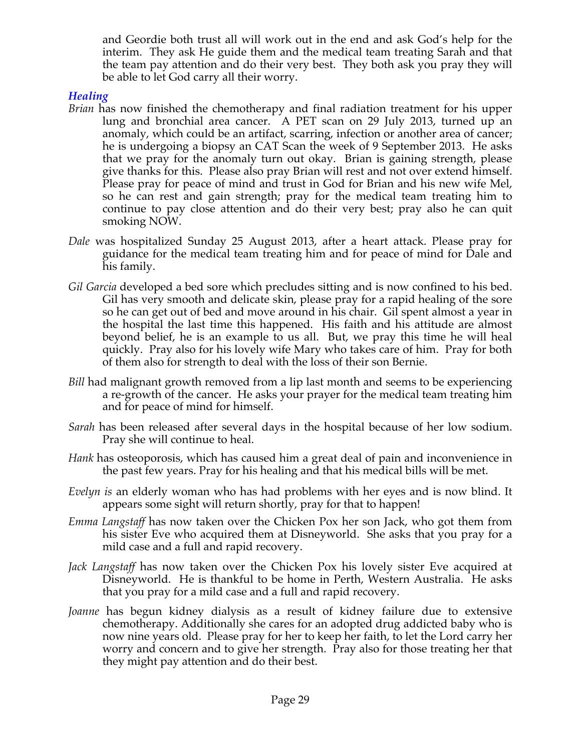and Geordie both trust all will work out in the end and ask God's help for the interim. They ask He guide them and the medical team treating Sarah and that the team pay attention and do their very best. They both ask you pray they will be able to let God carry all their worry.

## *Healing*

- *Brian* has now finished the chemotherapy and final radiation treatment for his upper lung and bronchial area cancer. A PET scan on 29 July 2013, turned up an anomaly, which could be an artifact, scarring, infection or another area of cancer; he is undergoing a biopsy an CAT Scan the week of 9 September 2013. He asks that we pray for the anomaly turn out okay. Brian is gaining strength, please give thanks for this. Please also pray Brian will rest and not over extend himself. Please pray for peace of mind and trust in God for Brian and his new wife Mel, so he can rest and gain strength; pray for the medical team treating him to continue to pay close attention and do their very best; pray also he can quit smoking NOW.
- *Dale* was hospitalized Sunday 25 August 2013, after a heart attack. Please pray for guidance for the medical team treating him and for peace of mind for Dale and his family.
- *Gil Garcia* developed a bed sore which precludes sitting and is now confined to his bed. Gil has very smooth and delicate skin, please pray for a rapid healing of the sore so he can get out of bed and move around in his chair. Gil spent almost a year in the hospital the last time this happened. His faith and his attitude are almost beyond belief, he is an example to us all. But, we pray this time he will heal quickly. Pray also for his lovely wife Mary who takes care of him. Pray for both of them also for strength to deal with the loss of their son Bernie.
- *Bill* had malignant growth removed from a lip last month and seems to be experiencing a re-growth of the cancer. He asks your prayer for the medical team treating him and for peace of mind for himself.
- *Sarah* has been released after several days in the hospital because of her low sodium. Pray she will continue to heal.
- *Hank* has osteoporosis, which has caused him a great deal of pain and inconvenience in the past few years. Pray for his healing and that his medical bills will be met.
- *Evelyn is* an elderly woman who has had problems with her eyes and is now blind. It appears some sight will return shortly, pray for that to happen!
- *Emma Langstaff* has now taken over the Chicken Pox her son Jack, who got them from his sister Eve who acquired them at Disneyworld. She asks that you pray for a mild case and a full and rapid recovery.
- *Jack Langstaff* has now taken over the Chicken Pox his lovely sister Eve acquired at Disneyworld. He is thankful to be home in Perth, Western Australia. He asks that you pray for a mild case and a full and rapid recovery.
- *Joanne* has begun kidney dialysis as a result of kidney failure due to extensive chemotherapy. Additionally she cares for an adopted drug addicted baby who is now nine years old. Please pray for her to keep her faith, to let the Lord carry her worry and concern and to give her strength. Pray also for those treating her that they might pay attention and do their best.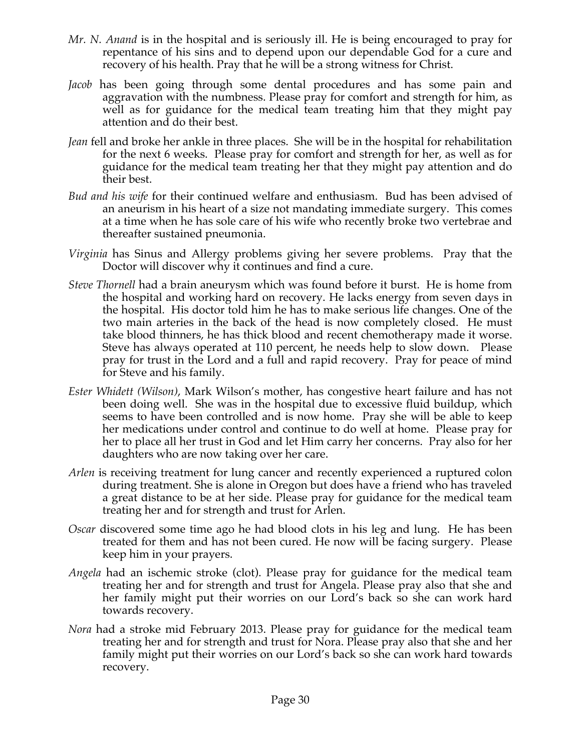- *Mr. N. Anand* is in the hospital and is seriously ill. He is being encouraged to pray for repentance of his sins and to depend upon our dependable God for a cure and recovery of his health. Pray that he will be a strong witness for Christ.
- *Jacob* has been going through some dental procedures and has some pain and aggravation with the numbness. Please pray for comfort and strength for him, as well as for guidance for the medical team treating him that they might pay attention and do their best.
- *Jean* fell and broke her ankle in three places. She will be in the hospital for rehabilitation for the next 6 weeks. Please pray for comfort and strength for her, as well as for guidance for the medical team treating her that they might pay attention and do their best.
- *Bud and his wife* for their continued welfare and enthusiasm. Bud has been advised of an aneurism in his heart of a size not mandating immediate surgery. This comes at a time when he has sole care of his wife who recently broke two vertebrae and thereafter sustained pneumonia.
- *Virginia* has Sinus and Allergy problems giving her severe problems. Pray that the Doctor will discover why it continues and find a cure.
- *Steve Thornell* had a brain aneurysm which was found before it burst. He is home from the hospital and working hard on recovery. He lacks energy from seven days in the hospital. His doctor told him he has to make serious life changes. One of the two main arteries in the back of the head is now completely closed. He must take blood thinners, he has thick blood and recent chemotherapy made it worse. Steve has always operated at 110 percent, he needs help to slow down. Please pray for trust in the Lord and a full and rapid recovery. Pray for peace of mind for Steve and his family.
- *Ester Whidett (Wilson)*, Mark Wilson's mother, has congestive heart failure and has not been doing well. She was in the hospital due to excessive fluid buildup, which seems to have been controlled and is now home. Pray she will be able to keep her medications under control and continue to do well at home. Please pray for her to place all her trust in God and let Him carry her concerns. Pray also for her daughters who are now taking over her care.
- *Arlen* is receiving treatment for lung cancer and recently experienced a ruptured colon during treatment. She is alone in Oregon but does have a friend who has traveled a great distance to be at her side. Please pray for guidance for the medical team treating her and for strength and trust for Arlen.
- *Oscar* discovered some time ago he had blood clots in his leg and lung. He has been treated for them and has not been cured. He now will be facing surgery. Please keep him in your prayers.
- *Angela* had an ischemic stroke (clot). Please pray for guidance for the medical team treating her and for strength and trust for Angela. Please pray also that she and her family might put their worries on our Lord's back so she can work hard towards recovery.
- *Nora* had a stroke mid February 2013. Please pray for guidance for the medical team treating her and for strength and trust for Nora. Please pray also that she and her family might put their worries on our Lord's back so she can work hard towards recovery.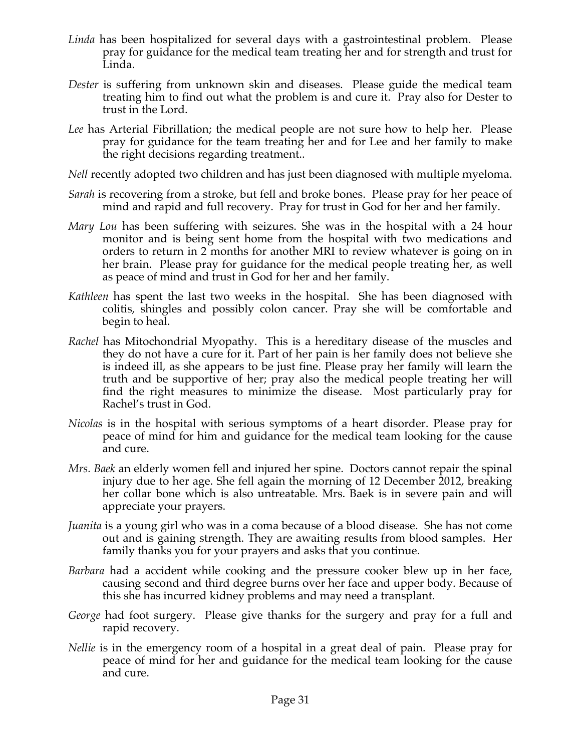- *Linda* has been hospitalized for several days with a gastrointestinal problem. Please pray for guidance for the medical team treating her and for strength and trust for Linda.
- *Dester* is suffering from unknown skin and diseases. Please guide the medical team treating him to find out what the problem is and cure it. Pray also for Dester to trust in the Lord.
- *Lee* has Arterial Fibrillation; the medical people are not sure how to help her. Please pray for guidance for the team treating her and for Lee and her family to make the right decisions regarding treatment..
- *Nell* recently adopted two children and has just been diagnosed with multiple myeloma.
- *Sarah* is recovering from a stroke, but fell and broke bones. Please pray for her peace of mind and rapid and full recovery. Pray for trust in God for her and her family.
- *Mary Lou* has been suffering with seizures. She was in the hospital with a 24 hour monitor and is being sent home from the hospital with two medications and orders to return in 2 months for another MRI to review whatever is going on in her brain. Please pray for guidance for the medical people treating her, as well as peace of mind and trust in God for her and her family.
- *Kathleen* has spent the last two weeks in the hospital. She has been diagnosed with colitis, shingles and possibly colon cancer. Pray she will be comfortable and begin to heal.
- *Rachel* has Mitochondrial Myopathy. This is a hereditary disease of the muscles and they do not have a cure for it. Part of her pain is her family does not believe she is indeed ill, as she appears to be just fine. Please pray her family will learn the truth and be supportive of her; pray also the medical people treating her will find the right measures to minimize the disease. Most particularly pray for Rachel's trust in God.
- *Nicolas* is in the hospital with serious symptoms of a heart disorder. Please pray for peace of mind for him and guidance for the medical team looking for the cause and cure.
- *Mrs. Baek* an elderly women fell and injured her spine. Doctors cannot repair the spinal injury due to her age. She fell again the morning of 12 December 2012, breaking her collar bone which is also untreatable. Mrs. Baek is in severe pain and will appreciate your prayers.
- *Juanita* is a young girl who was in a coma because of a blood disease. She has not come out and is gaining strength. They are awaiting results from blood samples. Her family thanks you for your prayers and asks that you continue.
- *Barbara* had a accident while cooking and the pressure cooker blew up in her face, causing second and third degree burns over her face and upper body. Because of this she has incurred kidney problems and may need a transplant.
- *George* had foot surgery. Please give thanks for the surgery and pray for a full and rapid recovery.
- *Nellie* is in the emergency room of a hospital in a great deal of pain. Please pray for peace of mind for her and guidance for the medical team looking for the cause and cure.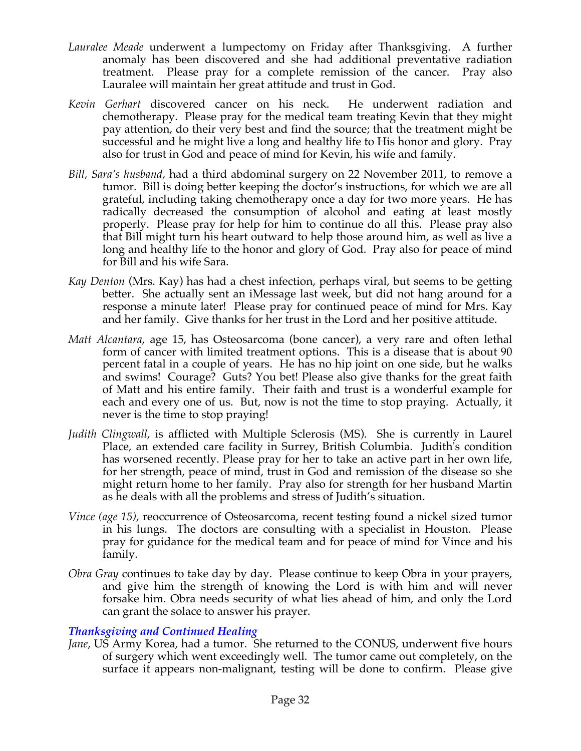- *Lauralee Meade* underwent a lumpectomy on Friday after Thanksgiving. A further anomaly has been discovered and she had additional preventative radiation treatment. Please pray for a complete remission of the cancer. Pray also Lauralee will maintain her great attitude and trust in God.
- *Kevin Gerhart* discovered cancer on his neck. He underwent radiation and chemotherapy. Please pray for the medical team treating Kevin that they might pay attention, do their very best and find the source; that the treatment might be successful and he might live a long and healthy life to His honor and glory. Pray also for trust in God and peace of mind for Kevin, his wife and family.
- *Bill, Sara's husband,* had a third abdominal surgery on 22 November 2011, to remove a tumor. Bill is doing better keeping the doctor's instructions, for which we are all grateful, including taking chemotherapy once a day for two more years. He has radically decreased the consumption of alcohol and eating at least mostly properly. Please pray for help for him to continue do all this. Please pray also that Bill might turn his heart outward to help those around him, as well as live a long and healthy life to the honor and glory of God. Pray also for peace of mind for Bill and his wife Sara.
- *Kay Denton* (Mrs. Kay) has had a chest infection, perhaps viral, but seems to be getting better. She actually sent an iMessage last week, but did not hang around for a response a minute later! Please pray for continued peace of mind for Mrs. Kay and her family. Give thanks for her trust in the Lord and her positive attitude.
- *Matt Alcantara*, age 15, has Osteosarcoma (bone cancer), a very rare and often lethal form of cancer with limited treatment options. This is a disease that is about 90 percent fatal in a couple of years. He has no hip joint on one side, but he walks and swims! Courage? Guts? You bet! Please also give thanks for the great faith of Matt and his entire family. Their faith and trust is a wonderful example for each and every one of us. But, now is not the time to stop praying. Actually, it never is the time to stop praying!
- *Judith Clingwall*, is afflicted with Multiple Sclerosis (MS). She is currently in Laurel Place, an extended care facility in Surrey, British Columbia. Judith's condition has worsened recently. Please pray for her to take an active part in her own life, for her strength, peace of mind, trust in God and remission of the disease so she might return home to her family. Pray also for strength for her husband Martin as he deals with all the problems and stress of Judith's situation.
- *Vince (age 15),* reoccurrence of Osteosarcoma, recent testing found a nickel sized tumor in his lungs. The doctors are consulting with a specialist in Houston. Please pray for guidance for the medical team and for peace of mind for Vince and his family.
- *Obra Gray* continues to take day by day. Please continue to keep Obra in your prayers, and give him the strength of knowing the Lord is with him and will never forsake him. Obra needs security of what lies ahead of him, and only the Lord can grant the solace to answer his prayer.

### *Thanksgiving and Continued Healing*

*Jane*, US Army Korea, had a tumor. She returned to the CONUS, underwent five hours of surgery which went exceedingly well. The tumor came out completely, on the surface it appears non-malignant, testing will be done to confirm. Please give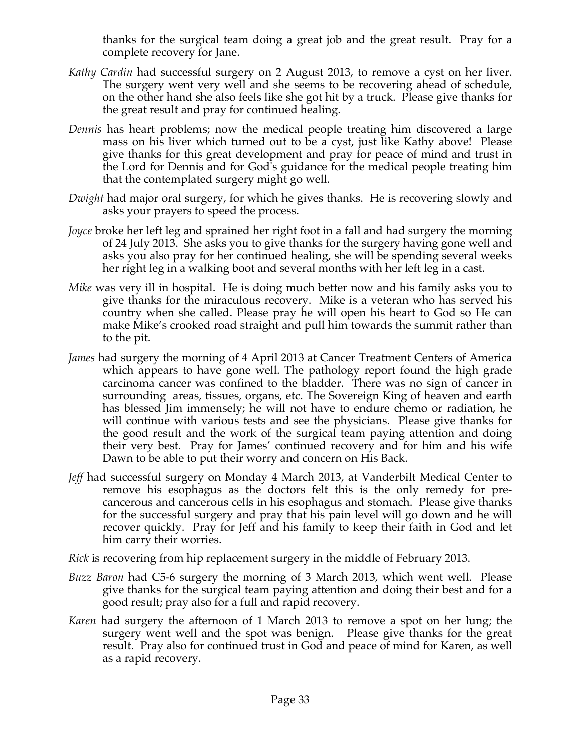thanks for the surgical team doing a great job and the great result. Pray for a complete recovery for Jane.

- *Kathy Cardin* had successful surgery on 2 August 2013, to remove a cyst on her liver. The surgery went very well and she seems to be recovering ahead of schedule, on the other hand she also feels like she got hit by a truck. Please give thanks for the great result and pray for continued healing.
- *Dennis* has heart problems; now the medical people treating him discovered a large mass on his liver which turned out to be a cyst, just like Kathy above! Please give thanks for this great development and pray for peace of mind and trust in the Lord for Dennis and for God's guidance for the medical people treating him that the contemplated surgery might go well.
- *Dwight* had major oral surgery, for which he gives thanks. He is recovering slowly and asks your prayers to speed the process.
- *Joyce* broke her left leg and sprained her right foot in a fall and had surgery the morning of 24 July 2013. She asks you to give thanks for the surgery having gone well and asks you also pray for her continued healing, she will be spending several weeks her right leg in a walking boot and several months with her left leg in a cast.
- *Mike* was very ill in hospital. He is doing much better now and his family asks you to give thanks for the miraculous recovery. Mike is a veteran who has served his country when she called. Please pray he will open his heart to God so He can make Mike's crooked road straight and pull him towards the summit rather than to the pit.
- *James* had surgery the morning of 4 April 2013 at Cancer Treatment Centers of America which appears to have gone well. The pathology report found the high grade carcinoma cancer was confined to the bladder. There was no sign of cancer in surrounding areas, tissues, organs, etc. The Sovereign King of heaven and earth has blessed Jim immensely; he will not have to endure chemo or radiation, he will continue with various tests and see the physicians. Please give thanks for the good result and the work of the surgical team paying attention and doing their very best. Pray for James' continued recovery and for him and his wife Dawn to be able to put their worry and concern on His Back.
- *Jeff* had successful surgery on Monday 4 March 2013, at Vanderbilt Medical Center to remove his esophagus as the doctors felt this is the only remedy for precancerous and cancerous cells in his esophagus and stomach. Please give thanks for the successful surgery and pray that his pain level will go down and he will recover quickly. Pray for Jeff and his family to keep their faith in God and let him carry their worries.

*Rick* is recovering from hip replacement surgery in the middle of February 2013.

- *Buzz Baron* had C5-6 surgery the morning of 3 March 2013, which went well. Please give thanks for the surgical team paying attention and doing their best and for a good result; pray also for a full and rapid recovery.
- *Karen* had surgery the afternoon of 1 March 2013 to remove a spot on her lung; the surgery went well and the spot was benign. Please give thanks for the great result. Pray also for continued trust in God and peace of mind for Karen, as well as a rapid recovery.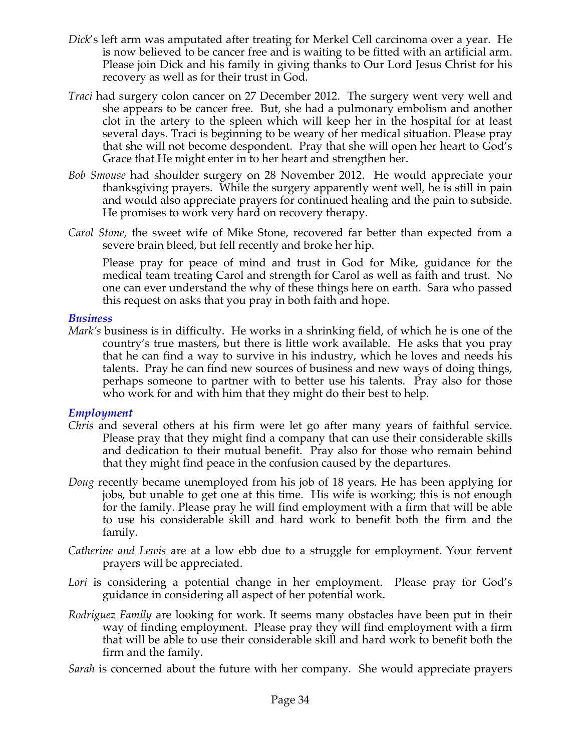- *Dick*'s left arm was amputated after treating for Merkel Cell carcinoma over a year. He is now believed to be cancer free and is waiting to be fitted with an artificial arm. Please join Dick and his family in giving thanks to Our Lord Jesus Christ for his recovery as well as for their trust in God.
- *Traci* had surgery colon cancer on 27 December 2012. The surgery went very well and she appears to be cancer free. But, she had a pulmonary embolism and another clot in the artery to the spleen which will keep her in the hospital for at least several days. Traci is beginning to be weary of her medical situation. Please pray that she will not become despondent. Pray that she will open her heart to God's Grace that He might enter in to her heart and strengthen her.
- *Bob Smouse* had shoulder surgery on 28 November 2012. He would appreciate your thanksgiving prayers. While the surgery apparently went well, he is still in pain and would also appreciate prayers for continued healing and the pain to subside. He promises to work very hard on recovery therapy.
- *Carol Stone*, the sweet wife of Mike Stone, recovered far better than expected from a severe brain bleed, but fell recently and broke her hip.

Please pray for peace of mind and trust in God for Mike, guidance for the medical team treating Carol and strength for Carol as well as faith and trust. No one can ever understand the why of these things here on earth. Sara who passed this request on asks that you pray in both faith and hope.

### *Business*

*Mark's* business is in difficulty. He works in a shrinking field, of which he is one of the country's true masters, but there is little work available. He asks that you pray that he can find a way to survive in his industry, which he loves and needs his talents. Pray he can find new sources of business and new ways of doing things, perhaps someone to partner with to better use his talents. Pray also for those who work for and with him that they might do their best to help.

### *Employment*

- *Chris* and several others at his firm were let go after many years of faithful service. Please pray that they might find a company that can use their considerable skills and dedication to their mutual benefit. Pray also for those who remain behind that they might find peace in the confusion caused by the departures.
- *Doug* recently became unemployed from his job of 18 years. He has been applying for jobs, but unable to get one at this time. His wife is working; this is not enough for the family. Please pray he will find employment with a firm that will be able to use his considerable skill and hard work to benefit both the firm and the family.
- *Catherine and Lewis* are at a low ebb due to a struggle for employment. Your fervent prayers will be appreciated.
- Lori is considering a potential change in her employment. Please pray for God's guidance in considering all aspect of her potential work.
- *Rodriguez Family* are looking for work. It seems many obstacles have been put in their way of finding employment. Please pray they will find employment with a firm that will be able to use their considerable skill and hard work to benefit both the firm and the family.
- *Sarah* is concerned about the future with her company. She would appreciate prayers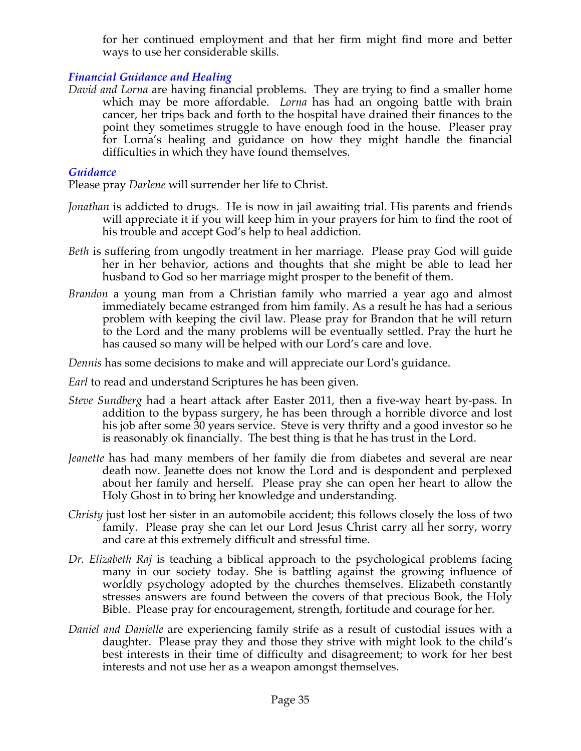for her continued employment and that her firm might find more and better ways to use her considerable skills.

# *Financial Guidance and Healing*

*David and Lorna* are having financial problems. They are trying to find a smaller home which may be more affordable. *Lorna* has had an ongoing battle with brain cancer, her trips back and forth to the hospital have drained their finances to the point they sometimes struggle to have enough food in the house. Pleaser pray for Lorna's healing and guidance on how they might handle the financial difficulties in which they have found themselves.

# *Guidance*

Please pray *Darlene* will surrender her life to Christ.

- *Jonathan* is addicted to drugs. He is now in jail awaiting trial. His parents and friends will appreciate it if you will keep him in your prayers for him to find the root of his trouble and accept God's help to heal addiction.
- *Beth* is suffering from ungodly treatment in her marriage. Please pray God will guide her in her behavior, actions and thoughts that she might be able to lead her husband to God so her marriage might prosper to the benefit of them.
- *Brandon* a young man from a Christian family who married a year ago and almost immediately became estranged from him family. As a result he has had a serious problem with keeping the civil law. Please pray for Brandon that he will return to the Lord and the many problems will be eventually settled. Pray the hurt he has caused so many will be helped with our Lord's care and love.

*Dennis* has some decisions to make and will appreciate our Lord's guidance.

*Earl* to read and understand Scriptures he has been given.

- *Steve Sundberg* had a heart attack after Easter 2011, then a five-way heart by-pass. In addition to the bypass surgery, he has been through a horrible divorce and lost his job after some 30 years service. Steve is very thrifty and a good investor so he is reasonably ok financially. The best thing is that he has trust in the Lord.
- *Jeanette* has had many members of her family die from diabetes and several are near death now. Jeanette does not know the Lord and is despondent and perplexed about her family and herself. Please pray she can open her heart to allow the Holy Ghost in to bring her knowledge and understanding.
- *Christy* just lost her sister in an automobile accident; this follows closely the loss of two family. Please pray she can let our Lord Jesus Christ carry all her sorry, worry and care at this extremely difficult and stressful time.
- *Dr. Elizabeth Raj* is teaching a biblical approach to the psychological problems facing many in our society today. She is battling against the growing influence of worldly psychology adopted by the churches themselves. Elizabeth constantly stresses answers are found between the covers of that precious Book, the Holy Bible. Please pray for encouragement, strength, fortitude and courage for her.
- *Daniel and Danielle* are experiencing family strife as a result of custodial issues with a daughter. Please pray they and those they strive with might look to the child's best interests in their time of difficulty and disagreement; to work for her best interests and not use her as a weapon amongst themselves.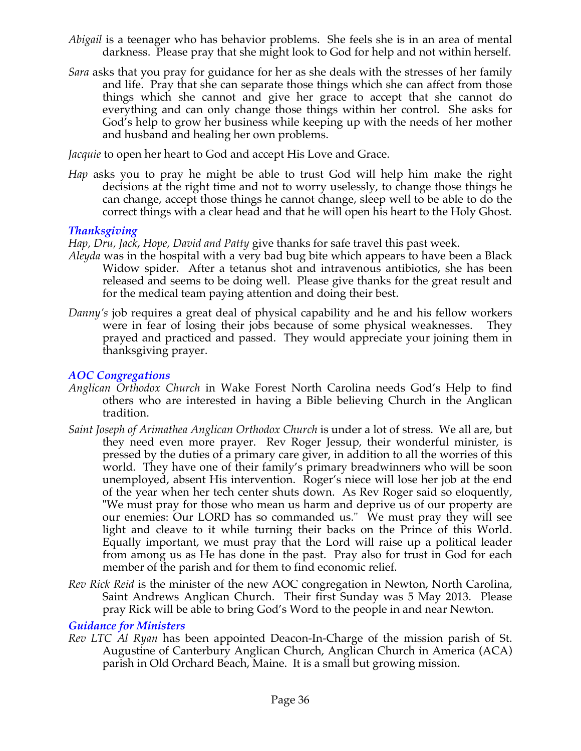- *Abigail* is a teenager who has behavior problems. She feels she is in an area of mental darkness. Please pray that she might look to God for help and not within herself.
- *Sara* asks that you pray for guidance for her as she deals with the stresses of her family and life. Pray that she can separate those things which she can affect from those things which she cannot and give her grace to accept that she cannot do everything and can only change those things within her control. She asks for God's help to grow her business while keeping up with the needs of her mother and husband and healing her own problems.

*Jacquie* to open her heart to God and accept His Love and Grace.

*Hap* asks you to pray he might be able to trust God will help him make the right decisions at the right time and not to worry uselessly, to change those things he can change, accept those things he cannot change, sleep well to be able to do the correct things with a clear head and that he will open his heart to the Holy Ghost.

# *Thanksgiving*

*Hap, Dru, Jack*, *Hope, David and Patty* give thanks for safe travel this past week.

- *Aleyda* was in the hospital with a very bad bug bite which appears to have been a Black Widow spider. After a tetanus shot and intravenous antibiotics, she has been released and seems to be doing well. Please give thanks for the great result and for the medical team paying attention and doing their best.
- *Danny's* job requires a great deal of physical capability and he and his fellow workers were in fear of losing their jobs because of some physical weaknesses. They prayed and practiced and passed. They would appreciate your joining them in thanksgiving prayer.

# *AOC Congregations*

- *Anglican Orthodox Church* in Wake Forest North Carolina needs God's Help to find others who are interested in having a Bible believing Church in the Anglican tradition.
- *Saint Joseph of Arimathea Anglican Orthodox Church* is under a lot of stress. We all are, but they need even more prayer. Rev Roger Jessup, their wonderful minister, is pressed by the duties of a primary care giver, in addition to all the worries of this world. They have one of their family's primary breadwinners who will be soon unemployed, absent His intervention. Roger's niece will lose her job at the end of the year when her tech center shuts down. As Rev Roger said so eloquently, "We must pray for those who mean us harm and deprive us of our property are our enemies: Our LORD has so commanded us." We must pray they will see light and cleave to it while turning their backs on the Prince of this World. Equally important, we must pray that the Lord will raise up a political leader from among us as He has done in the past. Pray also for trust in God for each member of the parish and for them to find economic relief.
- *Rev Rick Reid* is the minister of the new AOC congregation in Newton, North Carolina, Saint Andrews Anglican Church. Their first Sunday was 5 May 2013. Please pray Rick will be able to bring God's Word to the people in and near Newton.

### *Guidance for Ministers*

*Rev LTC Al Ryan* has been appointed Deacon-In-Charge of the mission parish of St. Augustine of Canterbury Anglican Church, Anglican Church in America (ACA) parish in Old Orchard Beach, Maine. It is a small but growing mission.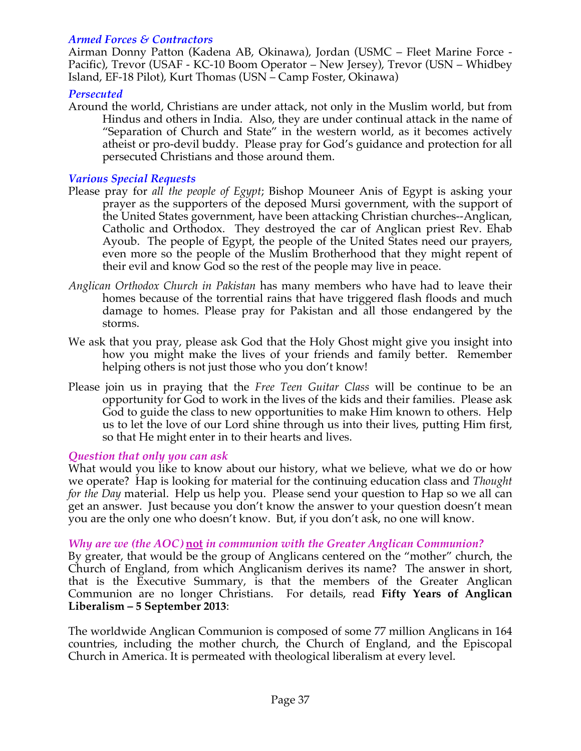# *Armed Forces & Contractors*

Airman Donny Patton (Kadena AB, Okinawa), Jordan (USMC – Fleet Marine Force - Pacific), Trevor (USAF - KC-10 Boom Operator – New Jersey), Trevor (USN – Whidbey Island, EF-18 Pilot), Kurt Thomas (USN – Camp Foster, Okinawa)

## *Persecuted*

Around the world, Christians are under attack, not only in the Muslim world, but from Hindus and others in India. Also, they are under continual attack in the name of "Separation of Church and State" in the western world, as it becomes actively atheist or pro-devil buddy. Please pray for God's guidance and protection for all persecuted Christians and those around them.

# *Various Special Requests*

- Please pray for *all the people of Egypt*; Bishop Mouneer Anis of Egypt is asking your prayer as the supporters of the deposed Mursi government, with the support of the United States government, have been attacking Christian churches--Anglican, Catholic and Orthodox. They destroyed the car of Anglican priest Rev. Ehab Ayoub. The people of Egypt, the people of the United States need our prayers, even more so the people of the Muslim Brotherhood that they might repent of their evil and know God so the rest of the people may live in peace.
- *Anglican Orthodox Church in Pakistan* has many members who have had to leave their homes because of the torrential rains that have triggered flash floods and much damage to homes. Please pray for Pakistan and all those endangered by the storms.
- We ask that you pray, please ask God that the Holy Ghost might give you insight into how you might make the lives of your friends and family better. Remember helping others is not just those who you don't know!
- Please join us in praying that the *Free Teen Guitar Class* will be continue to be an opportunity for God to work in the lives of the kids and their families. Please ask God to guide the class to new opportunities to make Him known to others. Help us to let the love of our Lord shine through us into their lives, putting Him first, so that He might enter in to their hearts and lives.

### *Question that only you can ask*

What would you like to know about our history, what we believe, what we do or how we operate? Hap is looking for material for the continuing education class and *Thought for the Day* material. Help us help you. Please send your question to Hap so we all can get an answer. Just because you don't know the answer to your question doesn't mean you are the only one who doesn't know. But, if you don't ask, no one will know.

### *Why are we (the AOC)* **not** *in communion with the Greater Anglican Communion?*

By greater, that would be the group of Anglicans centered on the "mother" church, the Church of England, from which Anglicanism derives its name? The answer in short, that is the Executive Summary, is that the members of the Greater Anglican Communion are no longer Christians. For details, read **Fifty Years of Anglican Liberalism – 5 September 2013**:

The worldwide Anglican Communion is composed of some 77 million Anglicans in 164 countries, including the mother church, the Church of England, and the Episcopal Church in America. It is permeated with theological liberalism at every level.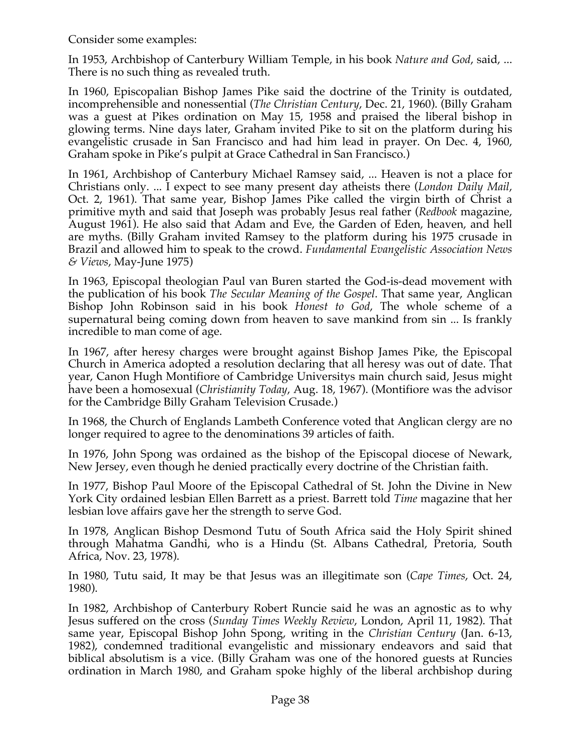Consider some examples:

In 1953, Archbishop of Canterbury William Temple, in his book *Nature and God*, said, ... There is no such thing as revealed truth.

In 1960, Episcopalian Bishop James Pike said the doctrine of the Trinity is outdated, incomprehensible and nonessential (*The Christian Century*, Dec. 21, 1960). (Billy Graham was a guest at Pikes ordination on May 15, 1958 and praised the liberal bishop in glowing terms. Nine days later, Graham invited Pike to sit on the platform during his evangelistic crusade in San Francisco and had him lead in prayer. On Dec. 4, 1960, Graham spoke in Pike's pulpit at Grace Cathedral in San Francisco.)

In 1961, Archbishop of Canterbury Michael Ramsey said, ... Heaven is not a place for Christians only. ... I expect to see many present day atheists there (*London Daily Mail*, Oct. 2, 1961). That same year, Bishop James Pike called the virgin birth of Christ a primitive myth and said that Joseph was probably Jesus real father (*Redbook* magazine, August 1961). He also said that Adam and Eve, the Garden of Eden, heaven, and hell are myths. (Billy Graham invited Ramsey to the platform during his 1975 crusade in Brazil and allowed him to speak to the crowd. *Fundamental Evangelistic Association News & Views*, May-June 1975)

In 1963, Episcopal theologian Paul van Buren started the God-is-dead movement with the publication of his book *The Secular Meaning of the Gospel*. That same year, Anglican Bishop John Robinson said in his book *Honest to God*, The whole scheme of a supernatural being coming down from heaven to save mankind from sin ... Is frankly incredible to man come of age.

In 1967, after heresy charges were brought against Bishop James Pike, the Episcopal Church in America adopted a resolution declaring that all heresy was out of date. That year, Canon Hugh Montifiore of Cambridge Universitys main church said, Jesus might have been a homosexual (*Christianity Today*, Aug. 18, 1967). (Montifiore was the advisor for the Cambridge Billy Graham Television Crusade.)

In 1968, the Church of Englands Lambeth Conference voted that Anglican clergy are no longer required to agree to the denominations 39 articles of faith.

In 1976, John Spong was ordained as the bishop of the Episcopal diocese of Newark, New Jersey, even though he denied practically every doctrine of the Christian faith.

In 1977, Bishop Paul Moore of the Episcopal Cathedral of St. John the Divine in New York City ordained lesbian Ellen Barrett as a priest. Barrett told *Time* magazine that her lesbian love affairs gave her the strength to serve God.

In 1978, Anglican Bishop Desmond Tutu of South Africa said the Holy Spirit shined through Mahatma Gandhi, who is a Hindu (St. Albans Cathedral, Pretoria, South Africa, Nov. 23, 1978).

In 1980, Tutu said, It may be that Jesus was an illegitimate son (*Cape Times*, Oct. 24, 1980).

In 1982, Archbishop of Canterbury Robert Runcie said he was an agnostic as to why Jesus suffered on the cross (*Sunday Times Weekly Review*, London, April 11, 1982). That same year, Episcopal Bishop John Spong, writing in the *Christian Century* (Jan. 6-13, 1982), condemned traditional evangelistic and missionary endeavors and said that biblical absolutism is a vice. (Billy Graham was one of the honored guests at Runcies ordination in March 1980, and Graham spoke highly of the liberal archbishop during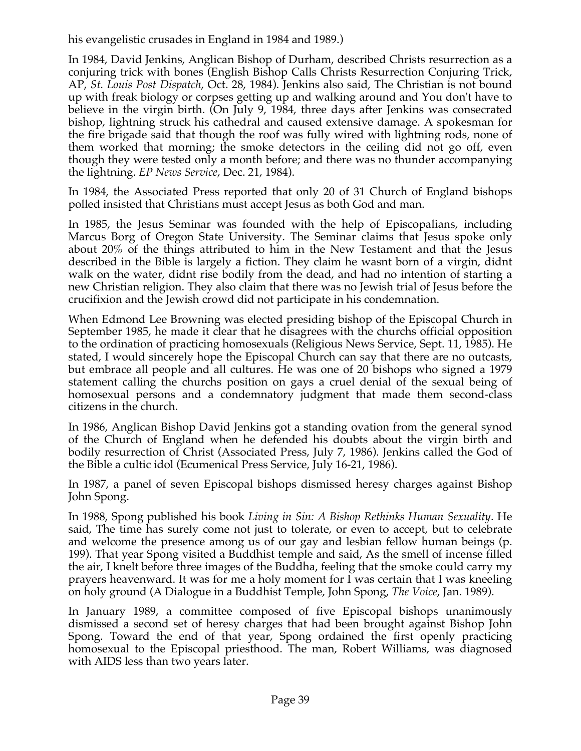his evangelistic crusades in England in 1984 and 1989.)

In 1984, David Jenkins, Anglican Bishop of Durham, described Christs resurrection as a conjuring trick with bones (English Bishop Calls Christs Resurrection Conjuring Trick, AP, *St. Louis Post Dispatch*, Oct. 28, 1984). Jenkins also said, The Christian is not bound up with freak biology or corpses getting up and walking around and You don't have to believe in the virgin birth. (On July 9, 1984, three days after Jenkins was consecrated bishop, lightning struck his cathedral and caused extensive damage. A spokesman for the fire brigade said that though the roof was fully wired with lightning rods, none of them worked that morning; the smoke detectors in the ceiling did not go off, even though they were tested only a month before; and there was no thunder accompanying the lightning. *EP News Service*, Dec. 21, 1984).

In 1984, the Associated Press reported that only 20 of 31 Church of England bishops polled insisted that Christians must accept Jesus as both God and man.

In 1985, the Jesus Seminar was founded with the help of Episcopalians, including Marcus Borg of Oregon State University. The Seminar claims that Jesus spoke only about 20% of the things attributed to him in the New Testament and that the Jesus described in the Bible is largely a fiction. They claim he wasnt born of a virgin, didnt walk on the water, didnt rise bodily from the dead, and had no intention of starting a new Christian religion. They also claim that there was no Jewish trial of Jesus before the crucifixion and the Jewish crowd did not participate in his condemnation.

When Edmond Lee Browning was elected presiding bishop of the Episcopal Church in September 1985, he made it clear that he disagrees with the churchs official opposition to the ordination of practicing homosexuals (Religious News Service, Sept. 11, 1985). He stated, I would sincerely hope the Episcopal Church can say that there are no outcasts, but embrace all people and all cultures. He was one of 20 bishops who signed a 1979 statement calling the churchs position on gays a cruel denial of the sexual being of homosexual persons and a condemnatory judgment that made them second-class citizens in the church.

In 1986, Anglican Bishop David Jenkins got a standing ovation from the general synod of the Church of England when he defended his doubts about the virgin birth and bodily resurrection of Christ (Associated Press, July 7, 1986). Jenkins called the God of the Bible a cultic idol (Ecumenical Press Service, July 16-21, 1986).

In 1987, a panel of seven Episcopal bishops dismissed heresy charges against Bishop John Spong.

In 1988, Spong published his book *Living in Sin: A Bishop Rethinks Human Sexuality*. He said, The time has surely come not just to tolerate, or even to accept, but to celebrate and welcome the presence among us of our gay and lesbian fellow human beings (p. 199). That year Spong visited a Buddhist temple and said, As the smell of incense filled the air, I knelt before three images of the Buddha, feeling that the smoke could carry my prayers heavenward. It was for me a holy moment for I was certain that I was kneeling on holy ground (A Dialogue in a Buddhist Temple, John Spong, *The Voice*, Jan. 1989).

In January 1989, a committee composed of five Episcopal bishops unanimously dismissed a second set of heresy charges that had been brought against Bishop John Spong. Toward the end of that year, Spong ordained the first openly practicing homosexual to the Episcopal priesthood. The man, Robert Williams, was diagnosed with AIDS less than two years later.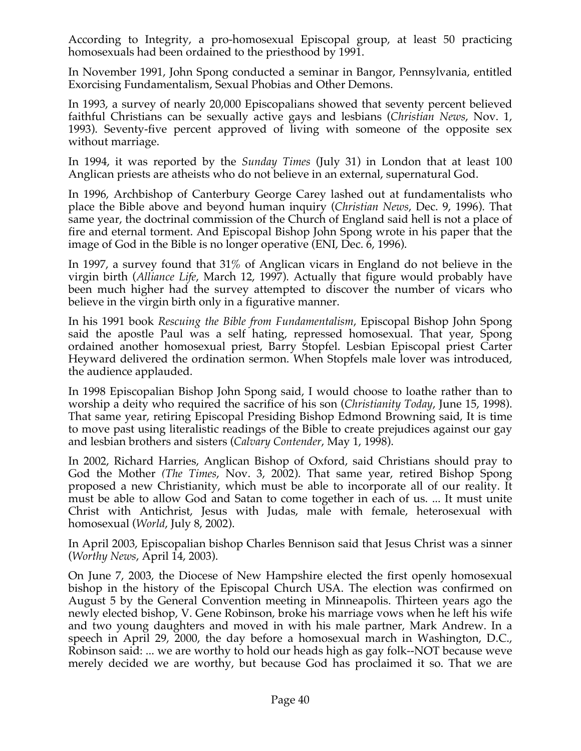According to Integrity, a pro-homosexual Episcopal group, at least 50 practicing homosexuals had been ordained to the priesthood by 1991.

In November 1991, John Spong conducted a seminar in Bangor, Pennsylvania, entitled Exorcising Fundamentalism, Sexual Phobias and Other Demons.

In 1993, a survey of nearly 20,000 Episcopalians showed that seventy percent believed faithful Christians can be sexually active gays and lesbians (*Christian News*, Nov. 1, 1993). Seventy-five percent approved of living with someone of the opposite sex without marriage.

In 1994, it was reported by the *Sunday Times* (July 31) in London that at least 100 Anglican priests are atheists who do not believe in an external, supernatural God.

In 1996, Archbishop of Canterbury George Carey lashed out at fundamentalists who place the Bible above and beyond human inquiry (*Christian News*, Dec. 9, 1996). That same year, the doctrinal commission of the Church of England said hell is not a place of fire and eternal torment. And Episcopal Bishop John Spong wrote in his paper that the image of God in the Bible is no longer operative (ENI, Dec. 6, 1996).

In 1997, a survey found that 31% of Anglican vicars in England do not believe in the virgin birth (*Alliance Life*, March 12, 1997). Actually that figure would probably have been much higher had the survey attempted to discover the number of vicars who believe in the virgin birth only in a figurative manner.

In his 1991 book *Rescuing the Bible from Fundamentalism*, Episcopal Bishop John Spong said the apostle Paul was a self hating, repressed homosexual. That year, Spong ordained another homosexual priest, Barry Stopfel. Lesbian Episcopal priest Carter Heyward delivered the ordination sermon. When Stopfels male lover was introduced, the audience applauded.

In 1998 Episcopalian Bishop John Spong said, I would choose to loathe rather than to worship a deity who required the sacrifice of his son (*Christianity Today*, June 15, 1998). That same year, retiring Episcopal Presiding Bishop Edmond Browning said, It is time to move past using literalistic readings of the Bible to create prejudices against our gay and lesbian brothers and sisters (*Calvary Contender*, May 1, 1998).

In 2002, Richard Harries, Anglican Bishop of Oxford, said Christians should pray to God the Mother *(The Times*, Nov. 3, 2002). That same year, retired Bishop Spong proposed a new Christianity, which must be able to incorporate all of our reality. It must be able to allow God and Satan to come together in each of us. ... It must unite Christ with Antichrist, Jesus with Judas, male with female, heterosexual with homosexual (*World*, July 8, 2002).

In April 2003, Episcopalian bishop Charles Bennison said that Jesus Christ was a sinner (*Worthy News*, April 14, 2003).

On June 7, 2003, the Diocese of New Hampshire elected the first openly homosexual bishop in the history of the Episcopal Church USA. The election was confirmed on August 5 by the General Convention meeting in Minneapolis. Thirteen years ago the newly elected bishop, V. Gene Robinson, broke his marriage vows when he left his wife and two young daughters and moved in with his male partner, Mark Andrew. In a speech in April 29, 2000, the day before a homosexual march in Washington, D.C., Robinson said: ... we are worthy to hold our heads high as gay folk--NOT because weve merely decided we are worthy, but because God has proclaimed it so. That we are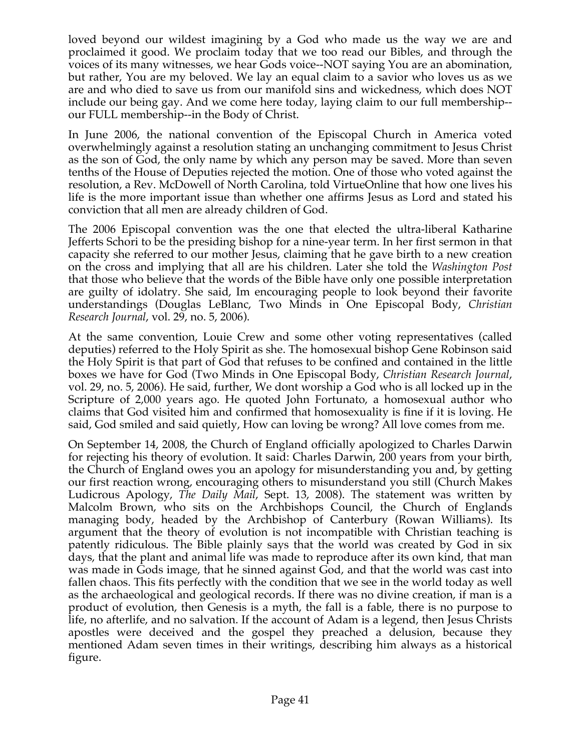loved beyond our wildest imagining by a God who made us the way we are and proclaimed it good. We proclaim today that we too read our Bibles, and through the voices of its many witnesses, we hear Gods voice--NOT saying You are an abomination, but rather, You are my beloved. We lay an equal claim to a savior who loves us as we are and who died to save us from our manifold sins and wickedness, which does NOT include our being gay. And we come here today, laying claim to our full membership- our FULL membership--in the Body of Christ.

In June 2006, the national convention of the Episcopal Church in America voted overwhelmingly against a resolution stating an unchanging commitment to Jesus Christ as the son of God, the only name by which any person may be saved. More than seven tenths of the House of Deputies rejected the motion. One of those who voted against the resolution, a Rev. McDowell of North Carolina, told VirtueOnline that how one lives his life is the more important issue than whether one affirms Jesus as Lord and stated his conviction that all men are already children of God.

The 2006 Episcopal convention was the one that elected the ultra-liberal Katharine Jefferts Schori to be the presiding bishop for a nine-year term. In her first sermon in that capacity she referred to our mother Jesus, claiming that he gave birth to a new creation on the cross and implying that all are his children. Later she told the *Washington Post* that those who believe that the words of the Bible have only one possible interpretation are guilty of idolatry. She said, Im encouraging people to look beyond their favorite understandings (Douglas LeBlanc, Two Minds in One Episcopal Body, *Christian Research Journal*, vol. 29, no. 5, 2006).

At the same convention, Louie Crew and some other voting representatives (called deputies) referred to the Holy Spirit as she. The homosexual bishop Gene Robinson said the Holy Spirit is that part of God that refuses to be confined and contained in the little boxes we have for God (Two Minds in One Episcopal Body, *Christian Research Journal*, vol. 29, no. 5, 2006). He said, further, We dont worship a God who is all locked up in the Scripture of 2,000 years ago. He quoted John Fortunato, a homosexual author who claims that God visited him and confirmed that homosexuality is fine if it is loving. He said, God smiled and said quietly, How can loving be wrong? All love comes from me.

On September 14, 2008, the Church of England officially apologized to Charles Darwin for rejecting his theory of evolution. It said: Charles Darwin, 200 years from your birth, the Church of England owes you an apology for misunderstanding you and, by getting our first reaction wrong, encouraging others to misunderstand you still (Church Makes Ludicrous Apology, *The Daily Mail*, Sept. 13, 2008). The statement was written by Malcolm Brown, who sits on the Archbishops Council, the Church of Englands managing body, headed by the Archbishop of Canterbury (Rowan Williams). Its argument that the theory of evolution is not incompatible with Christian teaching is patently ridiculous. The Bible plainly says that the world was created by God in six days, that the plant and animal life was made to reproduce after its own kind, that man was made in Gods image, that he sinned against God, and that the world was cast into fallen chaos. This fits perfectly with the condition that we see in the world today as well as the archaeological and geological records. If there was no divine creation, if man is a product of evolution, then Genesis is a myth, the fall is a fable, there is no purpose to life, no afterlife, and no salvation. If the account of Adam is a legend, then Jesus Christs apostles were deceived and the gospel they preached a delusion, because they mentioned Adam seven times in their writings, describing him always as a historical figure.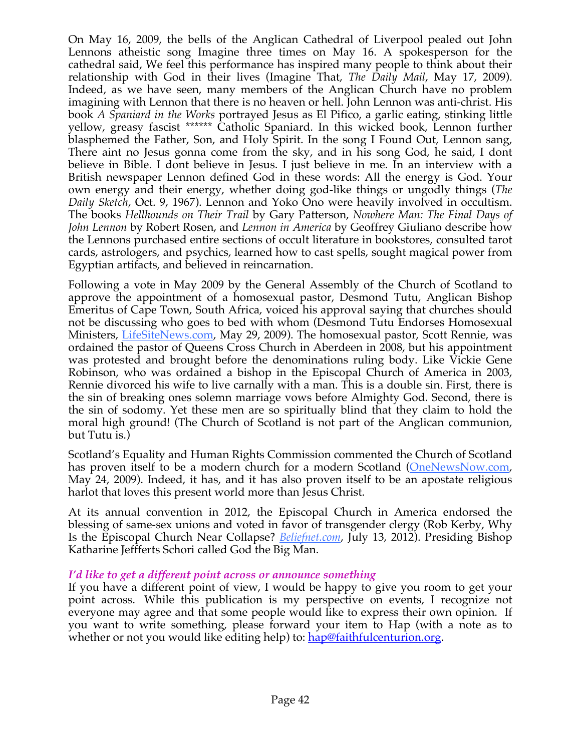On May 16, 2009, the bells of the Anglican Cathedral of Liverpool pealed out John Lennons atheistic song Imagine three times on May 16. A spokesperson for the cathedral said, We feel this performance has inspired many people to think about their relationship with God in their lives (Imagine That, *The Daily Mail*, May 17, 2009). Indeed, as we have seen, many members of the Anglican Church have no problem imagining with Lennon that there is no heaven or hell. John Lennon was anti-christ. His book *A Spaniard in the Works* portrayed Jesus as El Pifico, a garlic eating, stinking little yellow, greasy fascist \*\*\*\*\*\* Catholic Spaniard. In this wicked book, Lennon further blasphemed the Father, Son, and Holy Spirit. In the song I Found Out, Lennon sang, There aint no Jesus gonna come from the sky, and in his song God, he said, I dont believe in Bible. I dont believe in Jesus. I just believe in me. In an interview with a British newspaper Lennon defined God in these words: All the energy is God. Your own energy and their energy, whether doing god-like things or ungodly things (*The Daily Sketch*, Oct. 9, 1967). Lennon and Yoko Ono were heavily involved in occultism. The books *Hellhounds on Their Trail* by Gary Patterson, *Nowhere Man: The Final Days of John Lennon* by Robert Rosen, and *Lennon in America* by Geoffrey Giuliano describe how the Lennons purchased entire sections of occult literature in bookstores, consulted tarot cards, astrologers, and psychics, learned how to cast spells, sought magical power from Egyptian artifacts, and believed in reincarnation.

Following a vote in May 2009 by the General Assembly of the Church of Scotland to approve the appointment of a homosexual pastor, Desmond Tutu, Anglican Bishop Emeritus of Cape Town, South Africa, voiced his approval saying that churches should not be discussing who goes to bed with whom (Desmond Tutu Endorses Homosexual Ministers, *LifeSiteNews.com*, May 29, 2009). The homosexual pastor, Scott Rennie, was ordained the pastor of Queens Cross Church in Aberdeen in 2008, but his appointment was protested and brought before the denominations ruling body. Like Vickie Gene Robinson, who was ordained a bishop in the Episcopal Church of America in 2003, Rennie divorced his wife to live carnally with a man. This is a double sin. First, there is the sin of breaking ones solemn marriage vows before Almighty God. Second, there is the sin of sodomy. Yet these men are so spiritually blind that they claim to hold the moral high ground! (The Church of Scotland is not part of the Anglican communion, but Tutu is.)

Scotland's Equality and Human Rights Commission commented the Church of Scotland has proven itself to be a modern church for a modern Scotland (OneNewsNow.com, May 24, 2009). Indeed, it has, and it has also proven itself to be an apostate religious harlot that loves this present world more than Jesus Christ.

At its annual convention in 2012, the Episcopal Church in America endorsed the blessing of same-sex unions and voted in favor of transgender clergy (Rob Kerby, Why Is the Episcopal Church Near Collapse? *Beliefnet.com*, July 13, 2012). Presiding Bishop Katharine Jeffferts Schori called God the Big Man.

### *I'd like to get a different point across or announce something*

If you have a different point of view, I would be happy to give you room to get your point across. While this publication is my perspective on events, I recognize not everyone may agree and that some people would like to express their own opinion. If you want to write something, please forward your item to Hap (with a note as to whether or not you would like editing help) to: hap@faithfulcenturion.org.